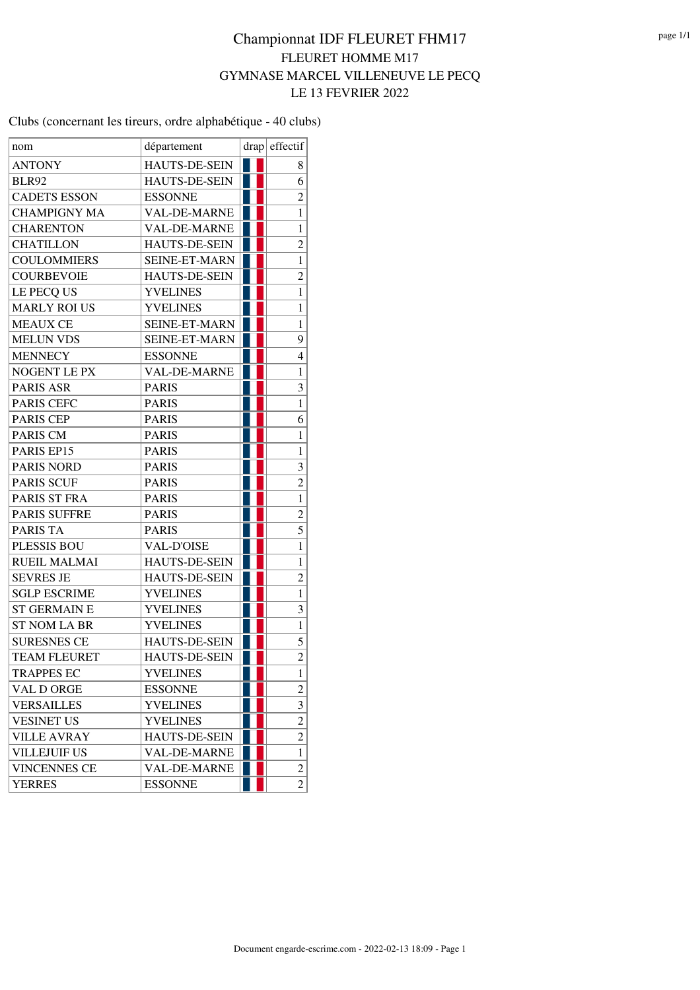Clubs (concernant les tireurs, ordre alphabétique - 40 clubs)

| nom                 | département          |  | drap effectif           |
|---------------------|----------------------|--|-------------------------|
| <b>ANTONY</b>       | HAUTS-DE-SEIN        |  | 8                       |
| <b>BLR92</b>        | <b>HAUTS-DE-SEIN</b> |  | 6                       |
| <b>CADETS ESSON</b> | <b>ESSONNE</b>       |  | $\overline{c}$          |
| <b>CHAMPIGNY MA</b> | <b>VAL-DE-MARNE</b>  |  | $\mathbf{1}$            |
| <b>CHARENTON</b>    | <b>VAL-DE-MARNE</b>  |  | 1                       |
| <b>CHATILLON</b>    | <b>HAUTS-DE-SEIN</b> |  | $\overline{c}$          |
| <b>COULOMMIERS</b>  | <b>SEINE-ET-MARN</b> |  | 1                       |
| <b>COURBEVOIE</b>   | HAUTS-DE-SEIN        |  | $\overline{c}$          |
| LE PECQ US          | <b>YVELINES</b>      |  | $\mathbf{1}$            |
| <b>MARLY ROI US</b> | <b>YVELINES</b>      |  | $\mathbf{1}$            |
| <b>MEAUX CE</b>     | <b>SEINE-ET-MARN</b> |  | $\mathbf 1$             |
| <b>MELUN VDS</b>    | <b>SEINE-ET-MARN</b> |  | 9                       |
| <b>MENNECY</b>      | <b>ESSONNE</b>       |  | 4                       |
| <b>NOGENT LE PX</b> | <b>VAL-DE-MARNE</b>  |  | $\mathbf{1}$            |
| PARIS ASR           | <b>PARIS</b>         |  | 3                       |
| PARIS CEFC          | <b>PARIS</b>         |  | $\mathbf{1}$            |
| PARIS CEP           | <b>PARIS</b>         |  | 6                       |
| PARIS CM            | <b>PARIS</b>         |  | $\mathbf{1}$            |
| PARIS EP15          | <b>PARIS</b>         |  | 1                       |
| <b>PARIS NORD</b>   | <b>PARIS</b>         |  | 3                       |
| <b>PARIS SCUF</b>   | <b>PARIS</b>         |  | $\overline{\mathbf{c}}$ |
| PARIS ST FRA        | <b>PARIS</b>         |  | $\mathbf{1}$            |
| <b>PARIS SUFFRE</b> | <b>PARIS</b>         |  | $\overline{\mathbf{c}}$ |
| <b>PARIS TA</b>     | <b>PARIS</b>         |  | $\overline{5}$          |
| PLESSIS BOU         | <b>VAL-D'OISE</b>    |  | $\mathbf{1}$            |
| <b>RUEIL MALMAI</b> | <b>HAUTS-DE-SEIN</b> |  | $\mathbf{1}$            |
| <b>SEVRES JE</b>    | HAUTS-DE-SEIN        |  | $\overline{c}$          |
| <b>SGLP ESCRIME</b> | <b>YVELINES</b>      |  | $\mathbf{1}$            |
| <b>ST GERMAIN E</b> | <b>YVELINES</b>      |  | 3                       |
| <b>ST NOM LA BR</b> | <b>YVELINES</b>      |  | $\mathbf{1}$            |
| <b>SURESNES CE</b>  | HAUTS-DE-SEIN        |  | 5                       |
| <b>TEAM FLEURET</b> | HAUTS-DE-SEIN        |  | $\overline{2}$          |
| <b>TRAPPES EC</b>   | <b>YVELINES</b>      |  | 1                       |
| VAL D ORGE          | <b>ESSONNE</b>       |  | $\overline{\mathbf{c}}$ |
| <b>VERSAILLES</b>   | <b>YVELINES</b>      |  | 3                       |
| <b>VESINET US</b>   | <b>YVELINES</b>      |  | $\overline{2}$          |
| <b>VILLE AVRAY</b>  | HAUTS-DE-SEIN        |  | $\overline{2}$          |
| <b>VILLEJUIF US</b> | VAL-DE-MARNE         |  | $\mathbf{1}$            |
| <b>VINCENNES CE</b> | <b>VAL-DE-MARNE</b>  |  | $\overline{c}$          |
| <b>YERRES</b>       | <b>ESSONNE</b>       |  | $\overline{2}$          |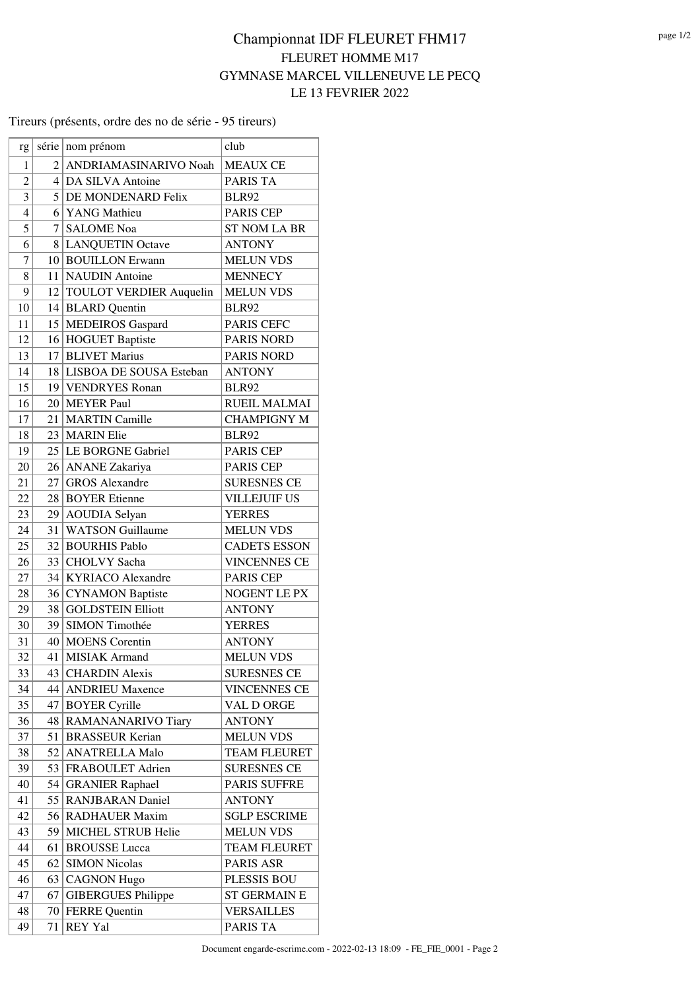#### Tireurs (présents, ordre des no de série - 95 tireurs)

| rg             |                 | série nom prénom           | club                |
|----------------|-----------------|----------------------------|---------------------|
| 1              |                 | 2 ANDRIAMASINARIVO Noah    | <b>MEAUX CE</b>     |
| $\overline{c}$ |                 | 4 DA SILVA Antoine         | PARIS TA            |
| 3              |                 | 5 DE MONDENARD Felix       | <b>BLR92</b>        |
| $\overline{4}$ |                 | 6 YANG Mathieu             | <b>PARIS CEP</b>    |
| 5              |                 | 7 SALOME Noa               | <b>ST NOM LA BR</b> |
| 6              |                 | 8 LANQUETIN Octave         | <b>ANTONY</b>       |
| 7              |                 | 10 BOUILLON Erwann         | <b>MELUN VDS</b>    |
| 8              |                 | 11 NAUDIN Antoine          | <b>MENNECY</b>      |
| 9              |                 | 12 TOULOT VERDIER Auquelin | <b>MELUN VDS</b>    |
| 10             |                 | 14 BLARD Quentin           | <b>BLR92</b>        |
| 11             |                 | 15 MEDEIROS Gaspard        | PARIS CEFC          |
| 12             |                 | 16 HOGUET Baptiste         | <b>PARIS NORD</b>   |
| 13             | 17 <sup>2</sup> | <b>BLIVET Marius</b>       | <b>PARIS NORD</b>   |
| 14             |                 | 18 LISBOA DE SOUSA Esteban | <b>ANTONY</b>       |
| 15             |                 | 19 VENDRYES Ronan          | <b>BLR92</b>        |
| 16             |                 | 20 MEYER Paul              | <b>RUEIL MALMAI</b> |
| 17             |                 | 21   MARTIN Camille        | <b>CHAMPIGNY M</b>  |
| 18             |                 | 23 MARIN Elie              | <b>BLR92</b>        |
| 19             |                 | 25 LE BORGNE Gabriel       | PARIS CEP           |
| 20             |                 | 26 ANANE Zakariya          | <b>PARIS CEP</b>    |
| 21             | 27 <sup>1</sup> | <b>GROS</b> Alexandre      | <b>SURESNES CE</b>  |
| 22             |                 | 28 BOYER Etienne           | <b>VILLEJUIF US</b> |
| 23             |                 | 29 AOUDIA Selyan           | <b>YERRES</b>       |
| 24             | 31              | <b>WATSON Guillaume</b>    | <b>MELUN VDS</b>    |
| 25             |                 | 32 BOURHIS Pablo           | <b>CADETS ESSON</b> |
| 26             |                 | 33 CHOLVY Sacha            | <b>VINCENNES CE</b> |
| 27             |                 | 34 KYRIACO Alexandre       | PARIS CEP           |
| 28             |                 | 36 CYNAMON Baptiste        | NOGENT LE PX        |
| 29             | 38              | <b>GOLDSTEIN Elliott</b>   | <b>ANTONY</b>       |
| 30             | 39              | SIMON Timothée             | <b>YERRES</b>       |
| 31             |                 | 40 MOENS Corentin          | <b>ANTONY</b>       |
| 32             |                 | 41 MISIAK Armand           | <b>MELUN VDS</b>    |
| 33             |                 | 43 CHARDIN Alexis          | <b>SURESNES CE</b>  |
| 34             | 44              | <b>ANDRIEU Maxence</b>     | <b>VINCENNES CE</b> |
| 35             |                 | 47 BOYER Cyrille           | VAL D ORGE          |
| 36             | 48              | RAMANANARIVO Tiary         | <b>ANTONY</b>       |
| 37             | 51              | <b>BRASSEUR Kerian</b>     | <b>MELUN VDS</b>    |
| 38             | 52              | <b>ANATRELLA Malo</b>      | <b>TEAM FLEURET</b> |
| 39             | 53              | FRABOULET Adrien           | <b>SURESNES CE</b>  |
| 40             | 54              | <b>GRANIER Raphael</b>     | PARIS SUFFRE        |
| 41             | 55              | <b>RANJBARAN Daniel</b>    | ANTONY              |
| 42             | 56              | <b>RADHAUER Maxim</b>      | <b>SGLP ESCRIME</b> |
| 43             | 59              | MICHEL STRUB Helie         | <b>MELUN VDS</b>    |
| 44             | 61              | <b>BROUSSE</b> Lucca       | <b>TEAM FLEURET</b> |
| 45             | 62              | <b>SIMON Nicolas</b>       | PARIS ASR           |
| 46             | 63              | <b>CAGNON Hugo</b>         | PLESSIS BOU         |
| 47             | 67              | <b>GIBERGUES Philippe</b>  | <b>ST GERMAIN E</b> |
| 48             |                 | 70 FERRE Quentin           | <b>VERSAILLES</b>   |
| 49             | 71              | <b>REY Yal</b>             | PARIS TA            |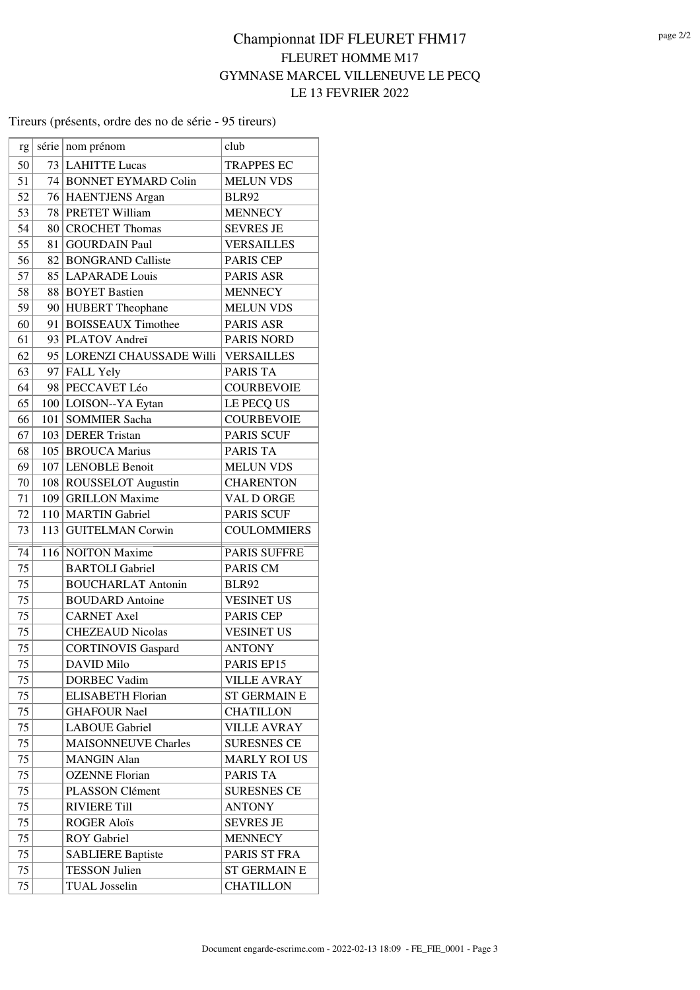#### Tireurs (présents, ordre des no de série - 95 tireurs)

| rg              |     | série nom prénom           | club                |
|-----------------|-----|----------------------------|---------------------|
| 50              |     | 73 LAHITTE Lucas           | <b>TRAPPES EC</b>   |
| 51              |     | 74 BONNET EYMARD Colin     | <b>MELUN VDS</b>    |
| 52              |     | 76 HAENTJENS Argan         | <b>BLR92</b>        |
| 53              |     | 78 PRETET William          | <b>MENNECY</b>      |
| 54              |     | 80 CROCHET Thomas          | <b>SEVRES JE</b>    |
| 55              |     | 81 GOURDAIN Paul           | <b>VERSAILLES</b>   |
| 56              |     | 82 BONGRAND Calliste       | PARIS CEP           |
| 57              |     | 85 LAPARADE Louis          | <b>PARIS ASR</b>    |
| 58              |     | 88 BOYET Bastien           | <b>MENNECY</b>      |
| 59              |     | 90 HUBERT Theophane        | <b>MELUN VDS</b>    |
| 60              |     | 91 BOISSEAUX Timothee      | PARIS ASR           |
| 61              |     | 93   PLATOV Andreï         | <b>PARIS NORD</b>   |
| 62              |     | 95 LORENZI CHAUSSADE Willi | <b>VERSAILLES</b>   |
| 63              |     | 97 FALL Yely               | PARIS TA            |
| 64              |     | 98 PECCAVET Léo            | <b>COURBEVOIE</b>   |
| 65              |     | 100 LOISON--YA Eytan       | LE PECQ US          |
| 66              | 101 | <b>SOMMIER Sacha</b>       | <b>COURBEVOIE</b>   |
| 67              |     | 103 DERER Tristan          | <b>PARIS SCUF</b>   |
| 68              |     | 105 BROUCA Marius          | PARIS TA            |
| 69              |     | 107 LENOBLE Benoit         | <b>MELUN VDS</b>    |
| 70              |     | 108 ROUSSELOT Augustin     | <b>CHARENTON</b>    |
| 71              | 109 | <b>GRILLON Maxime</b>      | VAL D ORGE          |
| 72              |     | 110 MARTIN Gabriel         | <b>PARIS SCUF</b>   |
| 73              | 113 | <b>GUITELMAN Corwin</b>    | <b>COULOMMIERS</b>  |
| 74              |     | 116 NOITON Maxime          | PARIS SUFFRE        |
| 75              |     | <b>BARTOLI</b> Gabriel     | PARIS CM            |
| 75              |     | <b>BOUCHARLAT Antonin</b>  | <b>BLR92</b>        |
| 75              |     | <b>BOUDARD</b> Antoine     | <b>VESINET US</b>   |
| 75              |     | <b>CARNET Axel</b>         | <b>PARIS CEP</b>    |
| 75              |     | <b>CHEZEAUD Nicolas</b>    | <b>VESINET US</b>   |
| $\overline{75}$ |     | <b>CORTINOVIS Gaspard</b>  | <b>ANTONY</b>       |
| 75              |     | <b>DAVID Milo</b>          | PARIS EP15          |
| 75              |     | <b>DORBEC Vadim</b>        | <b>VILLE AVRAY</b>  |
| 75              |     | <b>ELISABETH Florian</b>   | <b>ST GERMAIN E</b> |
| 75              |     | <b>GHAFOUR Nael</b>        | <b>CHATILLON</b>    |
| 75              |     | <b>LABOUE Gabriel</b>      | <b>VILLE AVRAY</b>  |
| 75              |     | <b>MAISONNEUVE Charles</b> | <b>SURESNES CE</b>  |
| 75              |     | <b>MANGIN Alan</b>         | <b>MARLY ROI US</b> |
| 75              |     | <b>OZENNE</b> Florian      | PARIS TA            |
| 75              |     | PLASSON Clément            | <b>SURESNES CE</b>  |
| 75              |     | <b>RIVIERE Till</b>        | <b>ANTONY</b>       |
| 75              |     | <b>ROGER Aloïs</b>         | <b>SEVRES JE</b>    |
| 75              |     | <b>ROY</b> Gabriel         | <b>MENNECY</b>      |
| 75              |     | <b>SABLIERE Baptiste</b>   | PARIS ST FRA        |
| 75              |     | <b>TESSON Julien</b>       | <b>ST GERMAIN E</b> |
| 75              |     | <b>TUAL</b> Josselin       | <b>CHATILLON</b>    |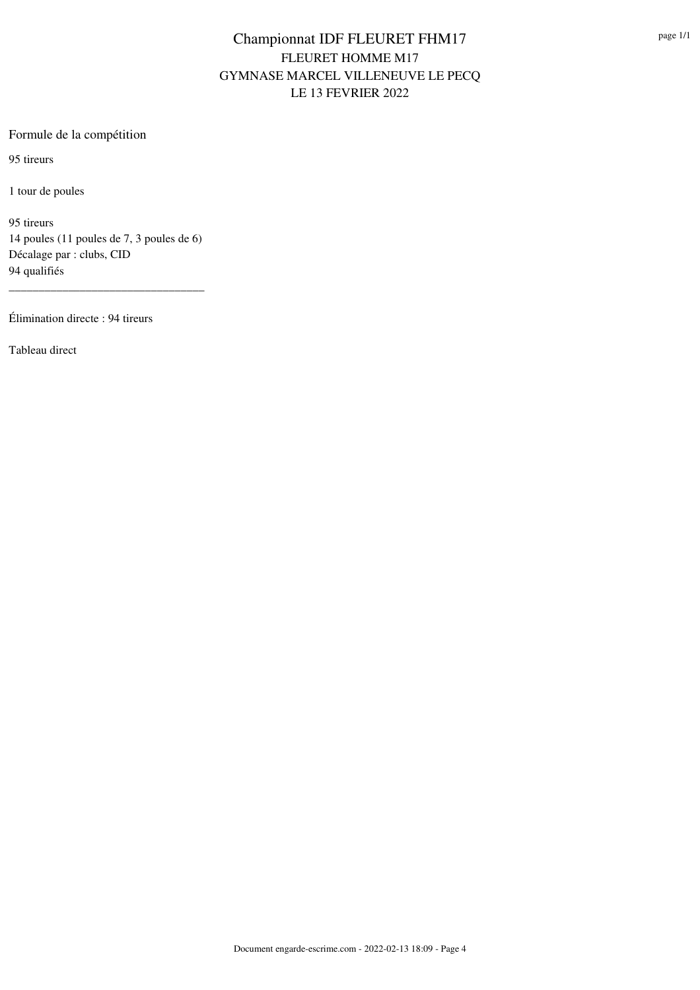### Formule de la compétition

95 tireurs

1 tour de poules

95 tireurs 14 poules (11 poules de 7, 3 poules de 6) Décalage par : clubs, CID 94 qualifiés

\_\_\_\_\_\_\_\_\_\_\_\_\_\_\_\_\_\_\_\_\_\_\_\_\_\_\_\_\_\_\_\_\_

Élimination directe : 94 tireurs

Tableau direct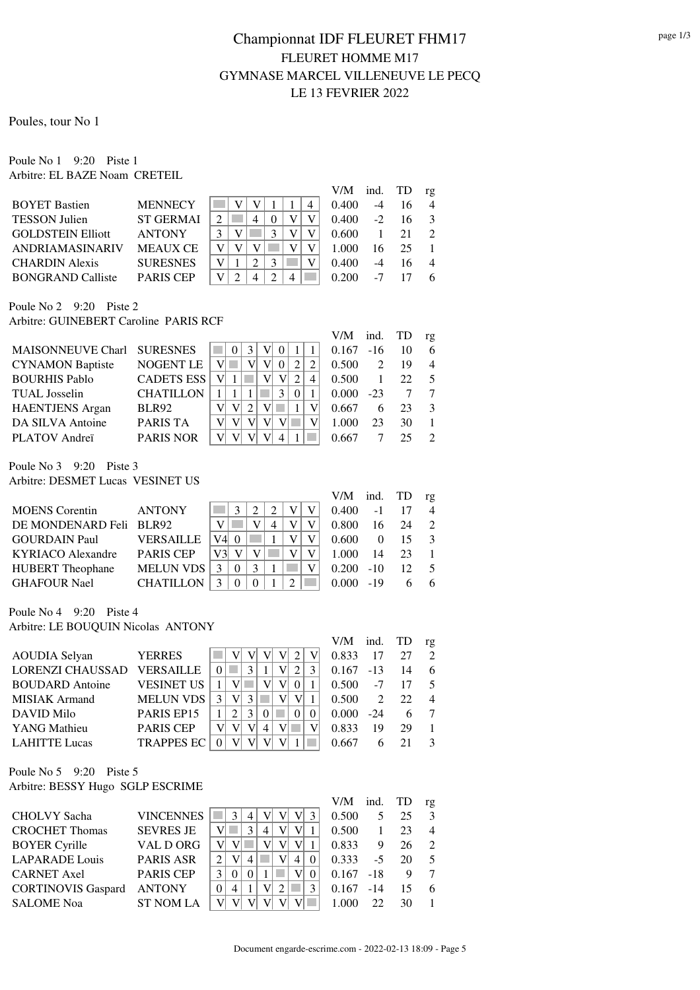Poules, tour No 1

Poule No 1 9:20 Piste 1 Arbitre: EL BAZE Noam CRETEIL

|                          |                  |   |  |   |   |   | V/M   | ind. | <b>TD</b> | rg             |
|--------------------------|------------------|---|--|---|---|---|-------|------|-----------|----------------|
| <b>BOYET Bastien</b>     | <b>MENNECY</b>   |   |  |   |   | 4 | 0.400 | -4   | 16        | 4              |
| <b>TESSON Julien</b>     | <b>ST GERMAI</b> | っ |  |   |   |   | 0.400 | $-2$ | 16        |                |
| <b>GOLDSTEIN Elliott</b> | <b>ANTONY</b>    |   |  |   |   |   | 0.600 |      | 21        | $\mathcal{D}$  |
| ANDRIAMASINARIV          | <b>MEAUX CE</b>  |   |  |   |   |   | 1.000 | 16   | 25        |                |
| <b>CHARDIN Alexis</b>    | <b>SURESNES</b>  |   |  | 3 |   |   | 0.400 | -4   | 16        | $\overline{4}$ |
| <b>BONGRAND Calliste</b> | <b>PARIS CEP</b> |   |  |   | 4 |   | 0.200 | -7   |           | 6              |

Poule No 2 9:20 Piste 2 Arbitre: GUINEBERT Caroline PARIS RCF

|                            |                   |  |  |   |   | V/M   | ind.                        | TD | rg             |
|----------------------------|-------------------|--|--|---|---|-------|-----------------------------|----|----------------|
| MAISONNEUVE Charl SURESNES |                   |  |  |   |   | 0.167 | $-16$                       |    | 6              |
| <b>CYNAMON Baptiste</b>    | <b>NOGENT LE</b>  |  |  |   |   | 0.500 | $\mathcal{D}_{\mathcal{L}}$ | 19 | $\overline{4}$ |
| <b>BOURHIS Pablo</b>       | <b>CADETS ESS</b> |  |  |   | 4 | 0.500 |                             | 22 |                |
| <b>TUAL</b> Josselin       | <b>CHATILLON</b>  |  |  | 3 |   | 0.000 | $-23$                       |    |                |
| <b>HAENTJENS</b> Argan     | <b>BLR92</b>      |  |  |   |   | 0.667 | 6                           | 23 | 3              |
| DA SILVA Antoine           | PARIS TA          |  |  |   |   | 1.000 | 23                          | 30 |                |
| PLATOV Andreï              | <b>PARIS NOR</b>  |  |  |   |   | 0.667 |                             |    |                |

Poule No 3 9:20 Piste 3 Arbitre: DESMET Lucas VESINET US

|                         |                  |          |  |  | V/M ind. TD |       |    | rg             |
|-------------------------|------------------|----------|--|--|-------------|-------|----|----------------|
| <b>MOENS</b> Corentin   | <b>ANTONY</b>    |          |  |  | 0.400       | $-1$  |    | $\overline{4}$ |
| DE MONDENARD Feli BLR92 |                  |          |  |  | 0.800       | 16    | 24 | $\overline{2}$ |
| <b>GOURDAIN Paul</b>    | <b>VERSAILLE</b> | $\Omega$ |  |  | 0.600       | 0     | 15 | $\mathcal{E}$  |
| KYRIACO Alexandre       | <b>PARIS CEP</b> |          |  |  | 1.000       | 14    | 23 |                |
| <b>HUBERT</b> Theophane | <b>MELUN VDS</b> |          |  |  | 0.200       | $-10$ | 12 | - 5            |
| <b>GHAFOUR Nael</b>     | <b>CHATILLON</b> |          |  |  | 0.000       | $-19$ |    | -6             |
|                         |                  |          |  |  |             |       |    |                |

#### Poule No 4 9:20 Piste 4 Arbitre: LE BOUQUIN Nicolas ANTONY

V/M ind. TD rg AOUDIA Selyan YERRES  $||\mathbf{v}|| \mathbf{v}|| \mathbf{v}|| \mathbf{v}|| \mathbf{v}|| 2 ||\mathbf{v}|| 0.833 17 27 2$ LORENZI CHAUSSAD VERSAILLE 0 3 1 V 2 3 0.167 -13 14 6 BOUDARD Antoine VESINET US 1 V V V 0 1 0.500 -7 17 5 MISIAK Armand MELUN VDS  $3 \mid v \mid 3 \mid \blacksquare \mid v \mid v \mid 1 \mid 0.500$  2 22 4 DAVID Milo PARIS EP15 1 2 3 0 0 0 0.000 -24 6 7

Poule No 5 9:20 Piste 5 Arbitre: BESSY Hugo SGLP ESCRIME

|                           |                  |   |   |   |   |   |   | V/M   | ind. TD |    | rg             |
|---------------------------|------------------|---|---|---|---|---|---|-------|---------|----|----------------|
| <b>CHOLVY Sacha</b>       | <b>VINCENNES</b> |   |   |   |   |   |   | 0.500 |         | 25 | 3              |
| <b>CROCHET Thomas</b>     | <b>SEVRES JE</b> |   |   | 3 | 4 |   |   | 0.500 |         | 23 | $\overline{4}$ |
| <b>BOYER Cyrille</b>      | VAL D ORG        |   |   |   |   |   |   | 0.833 | 9       | 26 | $\mathcal{D}$  |
| <b>LAPARADE</b> Louis     | <b>PARIS ASR</b> |   |   | 4 |   | 4 |   | 0.333 | $-5$    | 20 | -5             |
| <b>CARNET</b> Axel        | <b>PARIS CEP</b> | 3 |   | 0 |   |   |   | 0.167 | $-18$   |    |                |
| <b>CORTINOVIS Gaspard</b> | <b>ANTONY</b>    |   | 4 |   | V |   | 3 | 0.167 | $-14$   | 15 | -6             |
| <b>SALOME</b> Noa         | <b>ST NOM LA</b> |   |   |   |   |   |   | 1.000 | 22      | 30 |                |

YANG Mathieu PARIS CEP V V V 4 V 1 0.833 19 29 1 LAHITTE Lucas TRAPPES EC | 0 | V | V | V | 1 | 0.667 6 21 3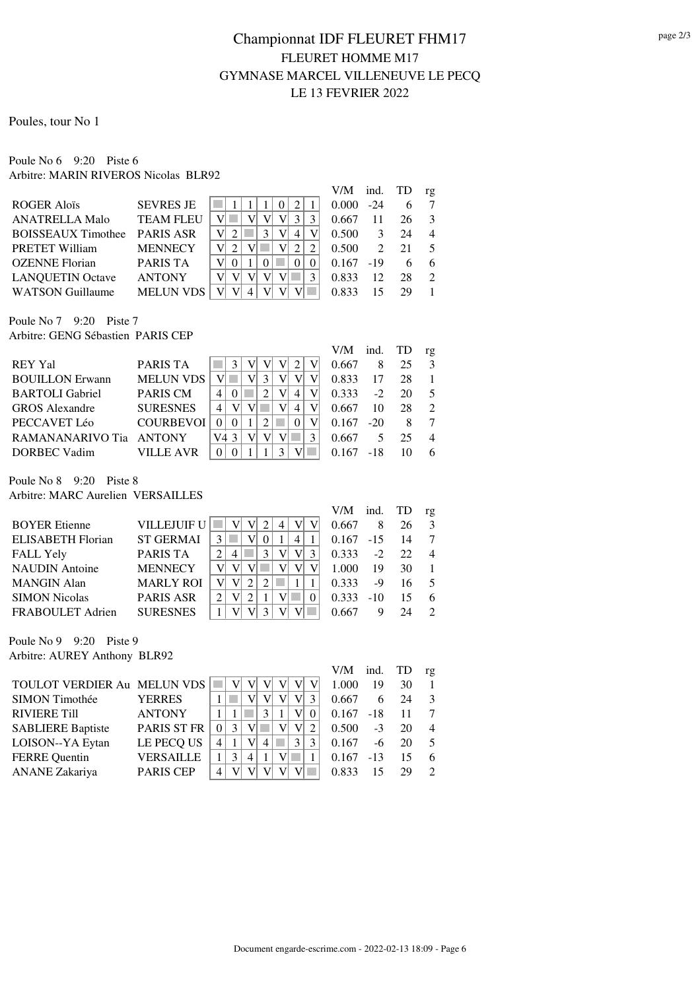Poules, tour No 1

#### Poule No 6 9:20 Piste 6 Arbitre: MARIN RIVEROS Nicolas BLR92

|                           |                  |            | V/M   | ind.          | TD | rg                          |
|---------------------------|------------------|------------|-------|---------------|----|-----------------------------|
| <b>ROGER Alois</b>        | <b>SEVRES JE</b> | $^{\circ}$ | 0.000 | $-24$         |    |                             |
| <b>ANATRELLA Malo</b>     | <b>TEAM FLEU</b> |            | 0.667 | 11            | 26 | 3                           |
| <b>BOISSEAUX Timothee</b> | <b>PARIS ASR</b> | 4          | 0.500 |               | 24 | 4                           |
| <b>PRETET William</b>     | <b>MENNECY</b>   |            | 0.500 | $\mathcal{D}$ | 21 |                             |
| <b>OZENNE</b> Florian     | <b>PARIS TA</b>  |            | 0.167 | $-19$         | 6  | 6                           |
| <b>LANQUETIN Octave</b>   | <b>ANTONY</b>    |            | 0.833 | 12            | 28 | $\mathcal{D}_{\mathcal{L}}$ |
| <b>WATSON Guillaume</b>   | <b>MELUN VDS</b> |            | 0.833 |               | 20 |                             |

Poule No 7 9:20 Piste 7 Arbitre: GENG Sébastien PARIS CEP

|                        |                  |    | V/M   | ind.  | TD | rg                          |
|------------------------|------------------|----|-------|-------|----|-----------------------------|
| REY Yal                | <b>PARIS TA</b>  |    | 0.667 |       |    | $\mathcal{R}$               |
| <b>BOUILLON</b> Erwann | <b>MELUN VDS</b> |    | 0.833 | 17    | 28 |                             |
| <b>BARTOLI</b> Gabriel | <b>PARIS CM</b>  | 4  | 0.333 | $-2$  | 20 | 5                           |
| <b>GROS</b> Alexandre  | <b>SURESNES</b>  | 4  | 0.667 | 10    | 28 | $\mathcal{D}_{\mathcal{L}}$ |
| PECCAVET Léo           | <b>COURBEVOI</b> |    | 0.167 | $-20$ |    |                             |
| RAMANANARIVO Tia       | ANTONY           | V4 | 0.667 |       | 25 |                             |
| DORBEC Vadim           | VILLE AVR        |    |       | -18   |    |                             |

Poule No 8 9:20 Piste 8

Arbitre: MARC Aurelien VERSAILLES

|                          |                    |          | V/M   | ind.   | TD | rg                          |
|--------------------------|--------------------|----------|-------|--------|----|-----------------------------|
| <b>BOYER Etienne</b>     | <b>VILLEJUIF U</b> | 4        | 0.667 |        | 26 | $\mathcal{R}$               |
| <b>ELISABETH Florian</b> | <b>ST GERMAI</b>   | 3<br>4   | 0.167 | $-1.5$ | 14 | 7                           |
| <b>FALL Yely</b>         | <b>PARIS TA</b>    | 4        | 0.333 | $-2$   | 22 | $\overline{4}$              |
| <b>NAUDIN</b> Antoine    | <b>MENNECY</b>     |          | 1.000 | 19     | 30 |                             |
| <b>MANGIN Alan</b>       | <b>MARLY ROI</b>   |          | 0.333 | -9     | 16 |                             |
| <b>SIMON Nicolas</b>     | <b>PARIS ASR</b>   | $\theta$ | 0.333 | $-10$  | 15 | 6                           |
| FRABOULET Adrien         | <b>SURESNES</b>    |          | 0.667 |        |    | $\mathcal{D}_{\mathcal{L}}$ |

Poule No 9 9:20 Piste 9 Arbitre: AUREY Anthony BLR92

|                             |                    |   |   |                |   |   | V/M          | ind.  | TD | rg             |
|-----------------------------|--------------------|---|---|----------------|---|---|--------------|-------|----|----------------|
| TOULOT VERDIER Au MELUN VDS |                    |   |   |                |   |   | 1.000        | 19    | 30 |                |
| SIMON Timothée              | <b>YERRES</b>      |   |   |                |   |   | 0.667        | 6     | 24 | 3              |
| <b>RIVIERE Till</b>         | <b>ANTONY</b>      |   |   |                |   |   | $0.167 - 18$ |       | 11 | - 7            |
| <b>SABLIERE Baptiste</b>    | <b>PARIS ST FR</b> |   |   |                |   |   | 0.500        | $-3$  | 20 | $\overline{4}$ |
| LOISON--YA Eytan            | LE PECQ US         | 4 |   | $\overline{4}$ | 3 | 3 | 0.167        | -6    | 20 | 5              |
| <b>FERRE Quentin</b>        | <b>VERSAILLE</b>   |   | 4 |                |   |   | 0.167        | $-13$ | 15 | 6              |
| <b>ANANE</b> Zakariya       | <b>PARIS CEP</b>   |   |   |                |   |   | 0.833        | 15    | 29 | $\mathcal{D}$  |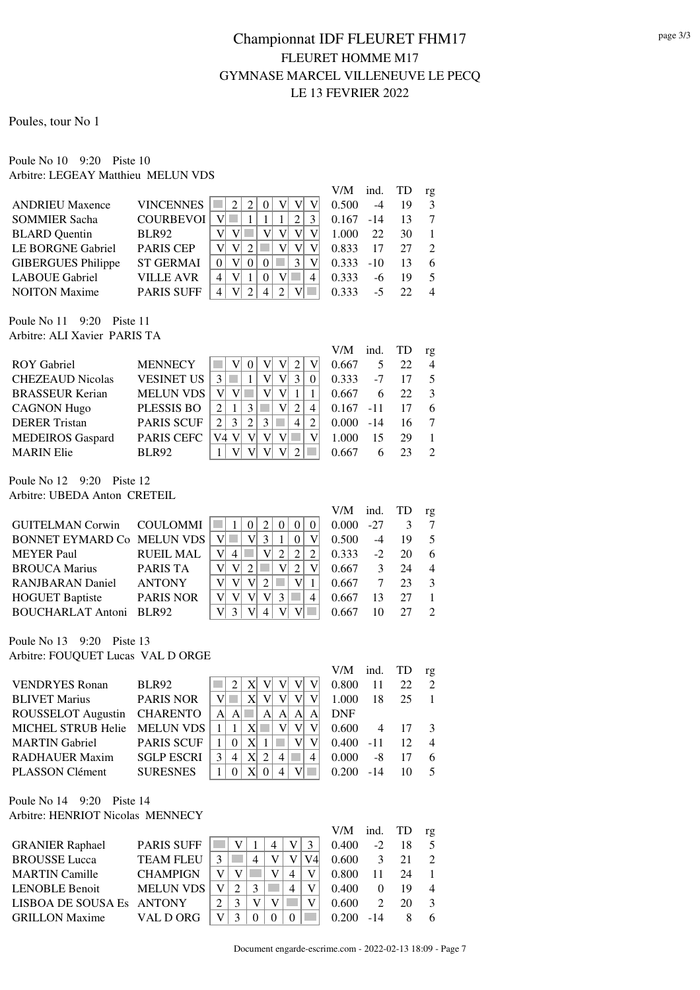Poules, tour No 1

#### Poule No 10 9:20 Piste 10 Arbitre: LEGEAY Matthieu MELUN VDS

|                           |                   |          |   |              |  |   |   | V/M   | ind.  | TD | rg                          |
|---------------------------|-------------------|----------|---|--------------|--|---|---|-------|-------|----|-----------------------------|
| <b>ANDRIEU Maxence</b>    | <b>VINCENNES</b>  |          | 2 |              |  |   |   | 0.500 | -4    | 19 | 3                           |
| <b>SOMMIER Sacha</b>      | <b>COURBEVOI</b>  |          |   |              |  |   |   | 0.167 | $-14$ | 13 |                             |
| <b>BLARD</b> Quentin      | <b>BLR92</b>      |          |   |              |  |   |   | 1.000 | 22    | 30 |                             |
| LE BORGNE Gabriel         | <b>PARIS CEP</b>  |          |   |              |  |   |   | 0.833 | 17    | 27 | $\mathcal{D}_{\mathcal{L}}$ |
| <b>GIBERGUES</b> Philippe | <b>ST GERMAI</b>  | $\Omega$ |   | $\mathbf{0}$ |  | 3 |   | 0.333 | $-10$ | 13 | 6                           |
| <b>LABOUE</b> Gabriel     | <b>VILLE AVR</b>  | 4        |   |              |  |   | 4 | 0.333 | -6    | 19 | $\overline{\mathcal{L}}$    |
| <b>NOITON</b> Maxime      | <b>PARIS SUFF</b> | 4        |   |              |  |   |   | 0.333 | -5    |    | $\overline{4}$              |

Poule No 11 9:20 Piste 11 Arbitre: ALI Xavier PARIS TA

|                         |                   |                                        | V/M   | ind.  | TD | rg             |
|-------------------------|-------------------|----------------------------------------|-------|-------|----|----------------|
| <b>ROY Gabriel</b>      | <b>MENNECY</b>    |                                        | 0.667 |       | 22 | $\overline{4}$ |
| <b>CHEZEAUD Nicolas</b> | <b>VESINET US</b> | 3<br>3                                 | 0.333 | $-7$  | 17 | -5             |
| <b>BRASSEUR Kerian</b>  | <b>MELUN VDS</b>  |                                        | 0.667 | 6     | 22 | $\mathcal{E}$  |
| <b>CAGNON Hugo</b>      | <b>PLESSIS BO</b> | 3<br>4                                 | 0.167 | $-11$ | 17 | 6              |
| <b>DERER Tristan</b>    | <b>PARIS SCUF</b> | 3<br>$\mathcal{E}$<br>2<br>2<br>4<br>2 | 0.000 | $-14$ | 16 |                |
| <b>MEDEIROS</b> Gaspard | <b>PARIS CEFC</b> | V4                                     | 1.000 | 15    | 29 |                |
| <b>MARIN Elie</b>       | <b>BLR92</b>      |                                        | 0.667 |       |    | $\mathcal{L}$  |

Poule No 12 9:20 Piste 12 Arbitre: UBEDA Anton CRETEIL

|                            |                  |   |  |  | V/M   | ind.  | TD | rg             |
|----------------------------|------------------|---|--|--|-------|-------|----|----------------|
| GUITELMAN Corwin COULOMMI  |                  |   |  |  | 0.000 | $-27$ |    |                |
| BONNET EYMARD Co MELUN VDS |                  |   |  |  | 0.500 | $-4$  | 19 | -5             |
| <b>MEYER Paul</b>          | <b>RUEIL MAL</b> | 4 |  |  | 0.333 | $-2$  | 20 | 6              |
| <b>BROUCA Marius</b>       | <b>PARIS TA</b>  |   |  |  | 0.667 |       | 24 | $\overline{4}$ |
| <b>RANJBARAN</b> Daniel    | <b>ANTONY</b>    |   |  |  | 0.667 |       | 23 | 3              |
| <b>HOGUET Baptiste</b>     | <b>PARIS NOR</b> |   |  |  | 0.667 | 13    | 27 |                |
| BOUCHARLAT Antoni BLR92    |                  |   |  |  | 0.667 |       |    | $\mathcal{L}$  |

Poule No 13 9:20 Piste 13 Arbitre: FOUQUET Lucas VAL D ORGE

|                              |                   |    |    |              |               |    |         | V/M        | ind. TD |     | rg             |
|------------------------------|-------------------|----|----|--------------|---------------|----|---------|------------|---------|-----|----------------|
| <b>VENDRYES</b> Ronan        | <b>BLR92</b>      |    |    | X            |               |    |         | 0.800      | 11      | 22. | $\overline{2}$ |
| <b>BLIVET Marius</b>         | <b>PARIS NOR</b>  |    |    |              |               |    |         | 1.000      | 18      | 25  |                |
| ROUSSELOT Augustin CHARENTO  |                   | Al | AI |              | Al            | Al | A<br>AI | <b>DNF</b> |         |     |                |
| MICHEL STRUB Helie MELUN VDS |                   |    |    | X            |               |    |         | 0.600      | 4       | -17 | $\mathbf{3}$   |
| <b>MARTIN Gabriel</b>        | <b>PARIS SCUF</b> |    |    | X            |               |    |         | 0.400      | $-11$   | 12  | $\overline{4}$ |
| <b>RADHAUER Maxim</b>        | <b>SGLP ESCRI</b> |    |    | $\mathbf{X}$ | $\mathcal{L}$ | 4  | 4       | 0.000      | -8      | 17  | 6              |
| <b>PLASSON Clément</b>       | <b>SURESNES</b>   |    |    |              |               |    |         | 0.200      | $-14$   | 10  | 5              |

#### Poule No 14 9:20 Piste 14 Arbitre: HENRIOT Nicolas MENNECY

|                           |                   |  |   |   | V/M   | ind.     | TD | rg             |
|---------------------------|-------------------|--|---|---|-------|----------|----|----------------|
| <b>GRANIER Raphael</b>    | <b>PARIS SUFF</b> |  |   |   | 0.400 | $-2$     | 18 | -5             |
| <b>BROUSSE</b> Lucca      | <b>TEAM FLEU</b>  |  |   |   | 0.600 | 3        | 21 | $\mathcal{D}$  |
| <b>MARTIN Camille</b>     | <b>CHAMPIGN</b>   |  |   |   | 0.800 | 11       | 24 |                |
| <b>LENOBLE Benoit</b>     | <b>MELUN VDS</b>  |  | 3 | 4 | 0.400 | $\Omega$ | 19 | $\overline{4}$ |
| LISBOA DE SOUSA ES ANTONY |                   |  |   |   | 0.600 |          | 20 | 3              |
| <b>GRILLON Maxime</b>     | VAL D ORG         |  |   |   | 0.200 | $-14$    |    | 6              |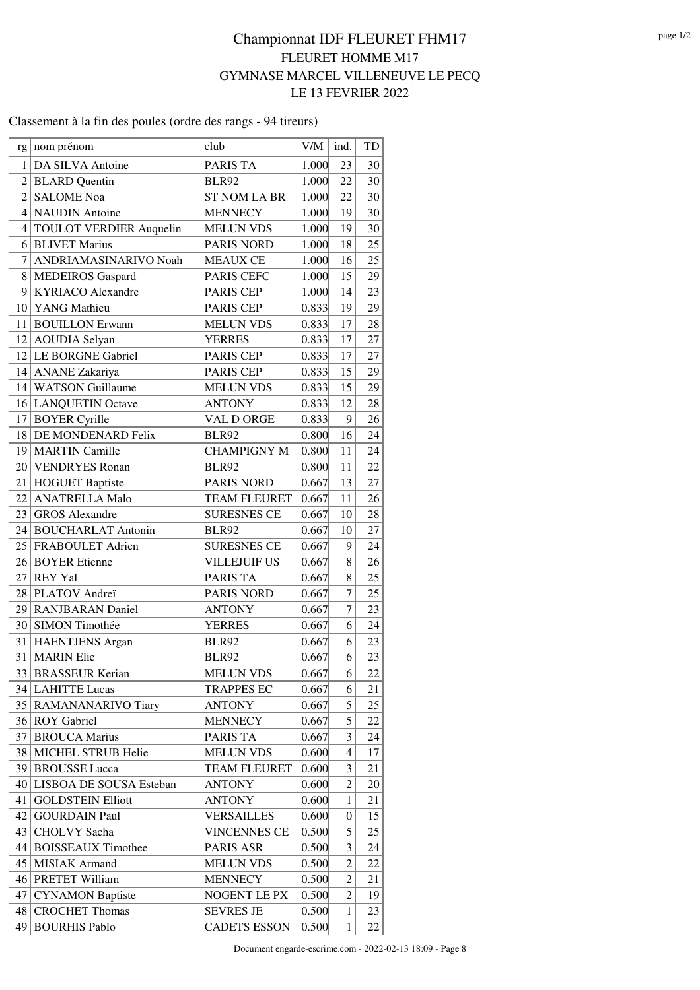#### Classement à la fin des poules (ordre des rangs - 94 tireurs)

| rg                       | nom prénom                                | club                                  | V/M            | ind.             | TD       |
|--------------------------|-------------------------------------------|---------------------------------------|----------------|------------------|----------|
|                          | DA SILVA Antoine                          |                                       |                |                  |          |
| 1<br>$\overline{2}$      |                                           | <b>PARIS TA</b>                       | 1.000          | 23<br>22         | 30<br>30 |
| $\overline{\mathcal{L}}$ | <b>BLARD</b> Quentin<br><b>SALOME</b> Noa | <b>BLR92</b>                          | 1.000          |                  |          |
|                          | 4 NAUDIN Antoine                          | <b>ST NOM LA BR</b><br><b>MENNECY</b> | 1.000<br>1.000 | 22<br>19         | 30<br>30 |
|                          |                                           |                                       |                |                  |          |
|                          | 4 TOULOT VERDIER Auquelin                 | <b>MELUN VDS</b>                      | 1.000          | 19               | 30<br>25 |
| 6                        | <b>BLIVET Marius</b>                      | PARIS NORD                            | 1.000          | 18               |          |
| 7                        | ANDRIAMASINARIVO Noah                     | <b>MEAUX CE</b>                       | 1.000          | 16               | 25       |
|                          | 8 MEDEIROS Gaspard                        | PARIS CEFC                            | 1.000          | 15               | 29       |
| 9                        | <b>KYRIACO</b> Alexandre                  | <b>PARIS CEP</b>                      | 1.000          | 14               | 23       |
|                          | 10 YANG Mathieu                           | <b>PARIS CEP</b>                      | 0.833          | 19               | 29       |
|                          | 11 BOUILLON Erwann                        | <b>MELUN VDS</b>                      | 0.833          | 17               | 28       |
|                          | 12 AOUDIA Selyan                          | <b>YERRES</b>                         | 0.833          | 17               | 27       |
|                          | 12 LE BORGNE Gabriel                      | PARIS CEP                             | 0.833          | 17               | 27       |
|                          | 14   ANANE Zakariya                       | <b>PARIS CEP</b>                      | 0.833          | 15               | 29       |
|                          | 14 WATSON Guillaume                       | <b>MELUN VDS</b>                      | 0.833          | 15               | 29       |
|                          | 16 LANQUETIN Octave                       | <b>ANTONY</b>                         | 0.833          | 12               | 28       |
| 17                       | <b>BOYER</b> Cyrille                      | VAL D ORGE                            | 0.833          | 9                | 26       |
|                          | 18 DE MONDENARD Felix                     | <b>BLR92</b>                          | 0.800          | 16               | 24       |
|                          | 19   MARTIN Camille                       | <b>CHAMPIGNY M</b>                    | 0.800          | 11               | 24       |
|                          | 20 VENDRYES Ronan                         | <b>BLR92</b>                          | 0.800          | 11               | 22       |
|                          | 21   HOGUET Baptiste                      | <b>PARIS NORD</b>                     | 0.667          | 13               | 27       |
|                          | 22 ANATRELLA Malo                         | <b>TEAM FLEURET</b>                   | 0.667          | 11               | 26       |
|                          | 23 GROS Alexandre                         | <b>SURESNES CE</b>                    | 0.667          | 10               | 28       |
|                          | 24 BOUCHARLAT Antonin                     | <b>BLR92</b>                          | 0.667          | 10               | 27       |
|                          | 25 FRABOULET Adrien                       | <b>SURESNES CE</b>                    | 0.667          | 9                | 24       |
|                          | 26 BOYER Etienne                          | <b>VILLEJUIF US</b>                   | 0.667          | 8                | 26       |
|                          | $27$ REY Yal                              | <b>PARIS TA</b>                       | 0.667          | 8                | 25       |
|                          | 28 PLATOV Andreï                          | <b>PARIS NORD</b>                     | 0.667          | $\overline{7}$   | 25       |
|                          | 29 RANJBARAN Daniel                       | <b>ANTONY</b>                         | 0.667          | 7                | 23       |
|                          | 30 SIMON Timothée                         | <b>YERRES</b>                         | 0.667          | 6                | 24       |
| 31                       | HAENTJENS Argan                           | <b>BLR92</b>                          | 0.667          | 6                | 23       |
| 31                       | <b>MARIN</b> Elie                         | <b>BLR92</b>                          | 0.667          | 6                | 23       |
|                          | 33 BRASSEUR Kerian                        | <b>MELUN VDS</b>                      | 0.667          | 6                | 22       |
|                          | 34 LAHITTE Lucas                          | <b>TRAPPES EC</b>                     | 0.667          | 6                | 21       |
|                          | 35   RAMANANARIVO Tiary                   | <b>ANTONY</b>                         | 0.667          | 5                | 25       |
|                          | 36 ROY Gabriel                            | <b>MENNECY</b>                        | 0.667          | 5                | 22       |
| 37                       | <b>BROUCA Marius</b>                      | <b>PARIS TA</b>                       | 0.667          | 3                | 24       |
|                          | 38 MICHEL STRUB Helie                     | <b>MELUN VDS</b>                      | 0.600          | $\overline{4}$   | 17       |
| 39                       | <b>BROUSSE Lucca</b>                      | <b>TEAM FLEURET</b>                   | 0.600          | 3                | 21       |
|                          | 40 LISBOA DE SOUSA Esteban                | <b>ANTONY</b>                         | 0.600          | $\overline{c}$   | 20       |
| 41                       | <b>GOLDSTEIN Elliott</b>                  | <b>ANTONY</b>                         | 0.600          | 1                | 21       |
| 42                       | <b>GOURDAIN Paul</b>                      | <b>VERSAILLES</b>                     | 0.600          | $\boldsymbol{0}$ | 15       |
| 43                       | <b>CHOLVY</b> Sacha                       | <b>VINCENNES CE</b>                   | 0.500          | 5                | 25       |
|                          | 44 BOISSEAUX Timothee                     | PARIS ASR                             | 0.500          | 3                | 24       |
|                          | 45 MISIAK Armand                          | <b>MELUN VDS</b>                      | 0.500          | $\overline{2}$   | 22       |
|                          | 46 PRETET William                         | <b>MENNECY</b>                        | 0.500          | $\overline{c}$   | 21       |
| 47                       | <b>CYNAMON Baptiste</b>                   | NOGENT LE PX                          | 0.500          | $\overline{2}$   | 19       |
| 48                       | <b>CROCHET Thomas</b>                     | <b>SEVRES JE</b>                      | 0.500          | $\mathbf{1}$     | 23       |
| 49                       | <b>BOURHIS Pablo</b>                      | <b>CADETS ESSON</b>                   | 0.500          | $\mathbf{1}$     | 22       |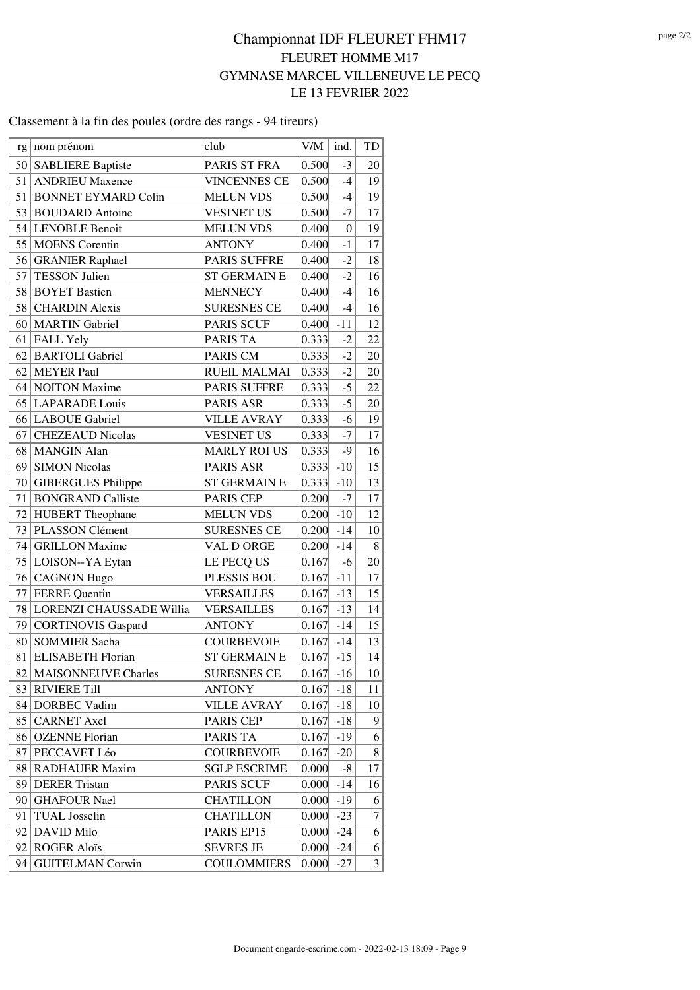#### Classement à la fin des poules (ordre des rangs - 94 tireurs)

| rg   nom prénom<br>50 SABLIERE Baptiste<br>PARIS ST FRA<br>0.500<br>$-3$<br>20<br>51<br><b>ANDRIEU Maxence</b><br>0.500<br>$-4$<br><b>VINCENNES CE</b><br>19<br>51<br><b>BONNET EYMARD Colin</b><br>0.500<br>$-4$<br><b>MELUN VDS</b><br>19<br>53 BOUDARD Antoine<br>$-7$<br>0.500<br><b>VESINET US</b><br>17<br>54 LENOBLE Benoit<br><b>MELUN VDS</b><br>0.400<br>$\boldsymbol{0}$<br>19<br>55 MOENS Corentin<br><b>ANTONY</b><br>0.400<br>$-1$<br>17<br>$-2$<br>56 GRANIER Raphael<br><b>PARIS SUFFRE</b><br>0.400<br>18<br>57<br><b>TESSON Julien</b><br>$-2$<br><b>ST GERMAIN E</b><br>16<br>0.400<br>58<br><b>BOYET Bastien</b><br><b>MENNECY</b><br>$-4$<br>0.400<br>16<br>58 <br><b>CHARDIN Alexis</b><br>$-4$<br><b>SURESNES CE</b><br>0.400<br>16<br>$-11$<br>60   MARTIN Gabriel<br><b>PARIS SCUF</b><br>0.400<br>12<br>61<br><b>FALL Yely</b><br><b>PARIS TA</b><br>0.333<br>$-2$<br>22<br><b>BARTOLI</b> Gabriel<br>62<br>0.333<br>$-2$<br>PARIS CM<br>20<br>62<br>MEYER Paul<br>$-2$<br>20<br><b>RUEIL MALMAI</b><br>0.333<br>$-5$<br>22<br>64 NOITON Maxime<br><b>PARIS SUFFRE</b><br>0.333<br>65 LAPARADE Louis<br>$-5$<br><b>PARIS ASR</b><br>20<br>0.333<br>66 LABOUE Gabriel<br><b>VILLE AVRAY</b><br>0.333<br>$-6$<br>19<br>$-7$<br>67<br><b>CHEZEAUD Nicolas</b><br><b>VESINET US</b><br>0.333<br>17<br>68 MANGIN Alan<br>0.333<br>$-9$<br><b>MARLY ROI US</b><br>16<br>$-10$<br>69 SIMON Nicolas<br>PARIS ASR<br>0.333<br>15<br>$0.333$ -10<br>70 <br><b>GIBERGUES Philippe</b><br><b>ST GERMAIN E</b><br>13<br>71<br><b>BONGRAND Calliste</b><br>0.200<br><b>PARIS CEP</b><br>$-7$<br>17<br>72 HUBERT Theophane<br>$-10$<br>12<br><b>MELUN VDS</b><br>0.200<br>PLASSON Clément<br>73<br><b>SURESNES CE</b><br>0.200<br>$-14$<br>10<br><b>GRILLON</b> Maxime<br>74 <br>VAL D ORGE<br>$0.200 - 14$<br>8<br>75<br>0.167<br>20<br>LOISON--YA Eytan<br>LE PECQ US<br>-6<br>$-11$<br>76 CAGNON Hugo<br><b>PLESSIS BOU</b><br>0.167<br>17<br><b>FERRE</b> Quentin<br>77<br><b>VERSAILLES</b><br>0.167<br>$-13$<br>15<br>78 LORENZI CHAUSSADE Willia<br><b>VERSAILLES</b><br>$0.167 - 13$<br>14<br>79<br>CORTINOVIS Gaspard<br>$0.167 - 14$<br>15<br><b>ANTONY</b><br>$0.167 - 14$<br><b>SOMMIER Sacha</b><br>13<br>80<br><b>COURBEVOIE</b><br>$0.167 - 15$<br>14<br>81 ELISABETH Florian<br>ST GERMAIN E<br>82<br><b>MAISONNEUVE Charles</b><br><b>SURESNES CE</b><br>0.167<br>$-16$<br>10<br><b>RIVIERE Till</b><br>83<br><b>ANTONY</b><br>0.167<br>$-18$<br>11<br>84   DORBEC Vadim<br><b>VILLE AVRAY</b><br>0.167<br>$-18$<br>10<br><b>CARNET</b> Axel<br>85<br>PARIS CEP<br>$-18$<br>0.167<br>9<br><b>OZENNE</b> Florian<br>PARIS TA<br>0.167<br>$-19$<br>86<br>6<br>PECCAVET Léo<br>87<br><b>COURBEVOIE</b><br>0.167<br>$-20$<br>8<br><b>RADHAUER Maxim</b><br>88<br><b>SGLP ESCRIME</b><br>0.000<br>-8<br>17<br><b>PARIS SCUF</b><br><b>DERER Tristan</b><br>$-14$<br>89<br>0.000<br>16<br><b>GHAFOUR Nael</b><br><b>CHATILLON</b><br>90<br>0.000<br>$-19$<br>6<br><b>TUAL</b> Josselin<br><b>CHATILLON</b><br>0.000<br>$-23$<br>7<br>91<br>DAVID Milo<br>PARIS EP15<br>0.000<br>$-24$<br>92<br>6<br><b>ROGER Aloïs</b><br><b>SEVRES JE</b><br>92<br>0.000<br>$-24$<br>6<br><b>GUITELMAN Corwin</b><br><b>COULOMMIERS</b><br>3<br>94<br>0.000<br>$-27$ |  |      |     |      |    |
|-----------------------------------------------------------------------------------------------------------------------------------------------------------------------------------------------------------------------------------------------------------------------------------------------------------------------------------------------------------------------------------------------------------------------------------------------------------------------------------------------------------------------------------------------------------------------------------------------------------------------------------------------------------------------------------------------------------------------------------------------------------------------------------------------------------------------------------------------------------------------------------------------------------------------------------------------------------------------------------------------------------------------------------------------------------------------------------------------------------------------------------------------------------------------------------------------------------------------------------------------------------------------------------------------------------------------------------------------------------------------------------------------------------------------------------------------------------------------------------------------------------------------------------------------------------------------------------------------------------------------------------------------------------------------------------------------------------------------------------------------------------------------------------------------------------------------------------------------------------------------------------------------------------------------------------------------------------------------------------------------------------------------------------------------------------------------------------------------------------------------------------------------------------------------------------------------------------------------------------------------------------------------------------------------------------------------------------------------------------------------------------------------------------------------------------------------------------------------------------------------------------------------------------------------------------------------------------------------------------------------------------------------------------------------------------------------------------------------------------------------------------------------------------------------------------------------------------------------------------------------------------------------------------------------------------------------------------------------------------------------------------------------------------------------------------------------------------------------------------------------------------------------------------------------------------------------------------------------------------------------------------------------------|--|------|-----|------|----|
|                                                                                                                                                                                                                                                                                                                                                                                                                                                                                                                                                                                                                                                                                                                                                                                                                                                                                                                                                                                                                                                                                                                                                                                                                                                                                                                                                                                                                                                                                                                                                                                                                                                                                                                                                                                                                                                                                                                                                                                                                                                                                                                                                                                                                                                                                                                                                                                                                                                                                                                                                                                                                                                                                                                                                                                                                                                                                                                                                                                                                                                                                                                                                                                                                                                                             |  | club | V/M | ind. | TD |
|                                                                                                                                                                                                                                                                                                                                                                                                                                                                                                                                                                                                                                                                                                                                                                                                                                                                                                                                                                                                                                                                                                                                                                                                                                                                                                                                                                                                                                                                                                                                                                                                                                                                                                                                                                                                                                                                                                                                                                                                                                                                                                                                                                                                                                                                                                                                                                                                                                                                                                                                                                                                                                                                                                                                                                                                                                                                                                                                                                                                                                                                                                                                                                                                                                                                             |  |      |     |      |    |
|                                                                                                                                                                                                                                                                                                                                                                                                                                                                                                                                                                                                                                                                                                                                                                                                                                                                                                                                                                                                                                                                                                                                                                                                                                                                                                                                                                                                                                                                                                                                                                                                                                                                                                                                                                                                                                                                                                                                                                                                                                                                                                                                                                                                                                                                                                                                                                                                                                                                                                                                                                                                                                                                                                                                                                                                                                                                                                                                                                                                                                                                                                                                                                                                                                                                             |  |      |     |      |    |
|                                                                                                                                                                                                                                                                                                                                                                                                                                                                                                                                                                                                                                                                                                                                                                                                                                                                                                                                                                                                                                                                                                                                                                                                                                                                                                                                                                                                                                                                                                                                                                                                                                                                                                                                                                                                                                                                                                                                                                                                                                                                                                                                                                                                                                                                                                                                                                                                                                                                                                                                                                                                                                                                                                                                                                                                                                                                                                                                                                                                                                                                                                                                                                                                                                                                             |  |      |     |      |    |
|                                                                                                                                                                                                                                                                                                                                                                                                                                                                                                                                                                                                                                                                                                                                                                                                                                                                                                                                                                                                                                                                                                                                                                                                                                                                                                                                                                                                                                                                                                                                                                                                                                                                                                                                                                                                                                                                                                                                                                                                                                                                                                                                                                                                                                                                                                                                                                                                                                                                                                                                                                                                                                                                                                                                                                                                                                                                                                                                                                                                                                                                                                                                                                                                                                                                             |  |      |     |      |    |
|                                                                                                                                                                                                                                                                                                                                                                                                                                                                                                                                                                                                                                                                                                                                                                                                                                                                                                                                                                                                                                                                                                                                                                                                                                                                                                                                                                                                                                                                                                                                                                                                                                                                                                                                                                                                                                                                                                                                                                                                                                                                                                                                                                                                                                                                                                                                                                                                                                                                                                                                                                                                                                                                                                                                                                                                                                                                                                                                                                                                                                                                                                                                                                                                                                                                             |  |      |     |      |    |
|                                                                                                                                                                                                                                                                                                                                                                                                                                                                                                                                                                                                                                                                                                                                                                                                                                                                                                                                                                                                                                                                                                                                                                                                                                                                                                                                                                                                                                                                                                                                                                                                                                                                                                                                                                                                                                                                                                                                                                                                                                                                                                                                                                                                                                                                                                                                                                                                                                                                                                                                                                                                                                                                                                                                                                                                                                                                                                                                                                                                                                                                                                                                                                                                                                                                             |  |      |     |      |    |
|                                                                                                                                                                                                                                                                                                                                                                                                                                                                                                                                                                                                                                                                                                                                                                                                                                                                                                                                                                                                                                                                                                                                                                                                                                                                                                                                                                                                                                                                                                                                                                                                                                                                                                                                                                                                                                                                                                                                                                                                                                                                                                                                                                                                                                                                                                                                                                                                                                                                                                                                                                                                                                                                                                                                                                                                                                                                                                                                                                                                                                                                                                                                                                                                                                                                             |  |      |     |      |    |
|                                                                                                                                                                                                                                                                                                                                                                                                                                                                                                                                                                                                                                                                                                                                                                                                                                                                                                                                                                                                                                                                                                                                                                                                                                                                                                                                                                                                                                                                                                                                                                                                                                                                                                                                                                                                                                                                                                                                                                                                                                                                                                                                                                                                                                                                                                                                                                                                                                                                                                                                                                                                                                                                                                                                                                                                                                                                                                                                                                                                                                                                                                                                                                                                                                                                             |  |      |     |      |    |
|                                                                                                                                                                                                                                                                                                                                                                                                                                                                                                                                                                                                                                                                                                                                                                                                                                                                                                                                                                                                                                                                                                                                                                                                                                                                                                                                                                                                                                                                                                                                                                                                                                                                                                                                                                                                                                                                                                                                                                                                                                                                                                                                                                                                                                                                                                                                                                                                                                                                                                                                                                                                                                                                                                                                                                                                                                                                                                                                                                                                                                                                                                                                                                                                                                                                             |  |      |     |      |    |
|                                                                                                                                                                                                                                                                                                                                                                                                                                                                                                                                                                                                                                                                                                                                                                                                                                                                                                                                                                                                                                                                                                                                                                                                                                                                                                                                                                                                                                                                                                                                                                                                                                                                                                                                                                                                                                                                                                                                                                                                                                                                                                                                                                                                                                                                                                                                                                                                                                                                                                                                                                                                                                                                                                                                                                                                                                                                                                                                                                                                                                                                                                                                                                                                                                                                             |  |      |     |      |    |
|                                                                                                                                                                                                                                                                                                                                                                                                                                                                                                                                                                                                                                                                                                                                                                                                                                                                                                                                                                                                                                                                                                                                                                                                                                                                                                                                                                                                                                                                                                                                                                                                                                                                                                                                                                                                                                                                                                                                                                                                                                                                                                                                                                                                                                                                                                                                                                                                                                                                                                                                                                                                                                                                                                                                                                                                                                                                                                                                                                                                                                                                                                                                                                                                                                                                             |  |      |     |      |    |
|                                                                                                                                                                                                                                                                                                                                                                                                                                                                                                                                                                                                                                                                                                                                                                                                                                                                                                                                                                                                                                                                                                                                                                                                                                                                                                                                                                                                                                                                                                                                                                                                                                                                                                                                                                                                                                                                                                                                                                                                                                                                                                                                                                                                                                                                                                                                                                                                                                                                                                                                                                                                                                                                                                                                                                                                                                                                                                                                                                                                                                                                                                                                                                                                                                                                             |  |      |     |      |    |
|                                                                                                                                                                                                                                                                                                                                                                                                                                                                                                                                                                                                                                                                                                                                                                                                                                                                                                                                                                                                                                                                                                                                                                                                                                                                                                                                                                                                                                                                                                                                                                                                                                                                                                                                                                                                                                                                                                                                                                                                                                                                                                                                                                                                                                                                                                                                                                                                                                                                                                                                                                                                                                                                                                                                                                                                                                                                                                                                                                                                                                                                                                                                                                                                                                                                             |  |      |     |      |    |
|                                                                                                                                                                                                                                                                                                                                                                                                                                                                                                                                                                                                                                                                                                                                                                                                                                                                                                                                                                                                                                                                                                                                                                                                                                                                                                                                                                                                                                                                                                                                                                                                                                                                                                                                                                                                                                                                                                                                                                                                                                                                                                                                                                                                                                                                                                                                                                                                                                                                                                                                                                                                                                                                                                                                                                                                                                                                                                                                                                                                                                                                                                                                                                                                                                                                             |  |      |     |      |    |
|                                                                                                                                                                                                                                                                                                                                                                                                                                                                                                                                                                                                                                                                                                                                                                                                                                                                                                                                                                                                                                                                                                                                                                                                                                                                                                                                                                                                                                                                                                                                                                                                                                                                                                                                                                                                                                                                                                                                                                                                                                                                                                                                                                                                                                                                                                                                                                                                                                                                                                                                                                                                                                                                                                                                                                                                                                                                                                                                                                                                                                                                                                                                                                                                                                                                             |  |      |     |      |    |
|                                                                                                                                                                                                                                                                                                                                                                                                                                                                                                                                                                                                                                                                                                                                                                                                                                                                                                                                                                                                                                                                                                                                                                                                                                                                                                                                                                                                                                                                                                                                                                                                                                                                                                                                                                                                                                                                                                                                                                                                                                                                                                                                                                                                                                                                                                                                                                                                                                                                                                                                                                                                                                                                                                                                                                                                                                                                                                                                                                                                                                                                                                                                                                                                                                                                             |  |      |     |      |    |
|                                                                                                                                                                                                                                                                                                                                                                                                                                                                                                                                                                                                                                                                                                                                                                                                                                                                                                                                                                                                                                                                                                                                                                                                                                                                                                                                                                                                                                                                                                                                                                                                                                                                                                                                                                                                                                                                                                                                                                                                                                                                                                                                                                                                                                                                                                                                                                                                                                                                                                                                                                                                                                                                                                                                                                                                                                                                                                                                                                                                                                                                                                                                                                                                                                                                             |  |      |     |      |    |
|                                                                                                                                                                                                                                                                                                                                                                                                                                                                                                                                                                                                                                                                                                                                                                                                                                                                                                                                                                                                                                                                                                                                                                                                                                                                                                                                                                                                                                                                                                                                                                                                                                                                                                                                                                                                                                                                                                                                                                                                                                                                                                                                                                                                                                                                                                                                                                                                                                                                                                                                                                                                                                                                                                                                                                                                                                                                                                                                                                                                                                                                                                                                                                                                                                                                             |  |      |     |      |    |
|                                                                                                                                                                                                                                                                                                                                                                                                                                                                                                                                                                                                                                                                                                                                                                                                                                                                                                                                                                                                                                                                                                                                                                                                                                                                                                                                                                                                                                                                                                                                                                                                                                                                                                                                                                                                                                                                                                                                                                                                                                                                                                                                                                                                                                                                                                                                                                                                                                                                                                                                                                                                                                                                                                                                                                                                                                                                                                                                                                                                                                                                                                                                                                                                                                                                             |  |      |     |      |    |
|                                                                                                                                                                                                                                                                                                                                                                                                                                                                                                                                                                                                                                                                                                                                                                                                                                                                                                                                                                                                                                                                                                                                                                                                                                                                                                                                                                                                                                                                                                                                                                                                                                                                                                                                                                                                                                                                                                                                                                                                                                                                                                                                                                                                                                                                                                                                                                                                                                                                                                                                                                                                                                                                                                                                                                                                                                                                                                                                                                                                                                                                                                                                                                                                                                                                             |  |      |     |      |    |
|                                                                                                                                                                                                                                                                                                                                                                                                                                                                                                                                                                                                                                                                                                                                                                                                                                                                                                                                                                                                                                                                                                                                                                                                                                                                                                                                                                                                                                                                                                                                                                                                                                                                                                                                                                                                                                                                                                                                                                                                                                                                                                                                                                                                                                                                                                                                                                                                                                                                                                                                                                                                                                                                                                                                                                                                                                                                                                                                                                                                                                                                                                                                                                                                                                                                             |  |      |     |      |    |
|                                                                                                                                                                                                                                                                                                                                                                                                                                                                                                                                                                                                                                                                                                                                                                                                                                                                                                                                                                                                                                                                                                                                                                                                                                                                                                                                                                                                                                                                                                                                                                                                                                                                                                                                                                                                                                                                                                                                                                                                                                                                                                                                                                                                                                                                                                                                                                                                                                                                                                                                                                                                                                                                                                                                                                                                                                                                                                                                                                                                                                                                                                                                                                                                                                                                             |  |      |     |      |    |
|                                                                                                                                                                                                                                                                                                                                                                                                                                                                                                                                                                                                                                                                                                                                                                                                                                                                                                                                                                                                                                                                                                                                                                                                                                                                                                                                                                                                                                                                                                                                                                                                                                                                                                                                                                                                                                                                                                                                                                                                                                                                                                                                                                                                                                                                                                                                                                                                                                                                                                                                                                                                                                                                                                                                                                                                                                                                                                                                                                                                                                                                                                                                                                                                                                                                             |  |      |     |      |    |
|                                                                                                                                                                                                                                                                                                                                                                                                                                                                                                                                                                                                                                                                                                                                                                                                                                                                                                                                                                                                                                                                                                                                                                                                                                                                                                                                                                                                                                                                                                                                                                                                                                                                                                                                                                                                                                                                                                                                                                                                                                                                                                                                                                                                                                                                                                                                                                                                                                                                                                                                                                                                                                                                                                                                                                                                                                                                                                                                                                                                                                                                                                                                                                                                                                                                             |  |      |     |      |    |
|                                                                                                                                                                                                                                                                                                                                                                                                                                                                                                                                                                                                                                                                                                                                                                                                                                                                                                                                                                                                                                                                                                                                                                                                                                                                                                                                                                                                                                                                                                                                                                                                                                                                                                                                                                                                                                                                                                                                                                                                                                                                                                                                                                                                                                                                                                                                                                                                                                                                                                                                                                                                                                                                                                                                                                                                                                                                                                                                                                                                                                                                                                                                                                                                                                                                             |  |      |     |      |    |
|                                                                                                                                                                                                                                                                                                                                                                                                                                                                                                                                                                                                                                                                                                                                                                                                                                                                                                                                                                                                                                                                                                                                                                                                                                                                                                                                                                                                                                                                                                                                                                                                                                                                                                                                                                                                                                                                                                                                                                                                                                                                                                                                                                                                                                                                                                                                                                                                                                                                                                                                                                                                                                                                                                                                                                                                                                                                                                                                                                                                                                                                                                                                                                                                                                                                             |  |      |     |      |    |
|                                                                                                                                                                                                                                                                                                                                                                                                                                                                                                                                                                                                                                                                                                                                                                                                                                                                                                                                                                                                                                                                                                                                                                                                                                                                                                                                                                                                                                                                                                                                                                                                                                                                                                                                                                                                                                                                                                                                                                                                                                                                                                                                                                                                                                                                                                                                                                                                                                                                                                                                                                                                                                                                                                                                                                                                                                                                                                                                                                                                                                                                                                                                                                                                                                                                             |  |      |     |      |    |
|                                                                                                                                                                                                                                                                                                                                                                                                                                                                                                                                                                                                                                                                                                                                                                                                                                                                                                                                                                                                                                                                                                                                                                                                                                                                                                                                                                                                                                                                                                                                                                                                                                                                                                                                                                                                                                                                                                                                                                                                                                                                                                                                                                                                                                                                                                                                                                                                                                                                                                                                                                                                                                                                                                                                                                                                                                                                                                                                                                                                                                                                                                                                                                                                                                                                             |  |      |     |      |    |
|                                                                                                                                                                                                                                                                                                                                                                                                                                                                                                                                                                                                                                                                                                                                                                                                                                                                                                                                                                                                                                                                                                                                                                                                                                                                                                                                                                                                                                                                                                                                                                                                                                                                                                                                                                                                                                                                                                                                                                                                                                                                                                                                                                                                                                                                                                                                                                                                                                                                                                                                                                                                                                                                                                                                                                                                                                                                                                                                                                                                                                                                                                                                                                                                                                                                             |  |      |     |      |    |
|                                                                                                                                                                                                                                                                                                                                                                                                                                                                                                                                                                                                                                                                                                                                                                                                                                                                                                                                                                                                                                                                                                                                                                                                                                                                                                                                                                                                                                                                                                                                                                                                                                                                                                                                                                                                                                                                                                                                                                                                                                                                                                                                                                                                                                                                                                                                                                                                                                                                                                                                                                                                                                                                                                                                                                                                                                                                                                                                                                                                                                                                                                                                                                                                                                                                             |  |      |     |      |    |
|                                                                                                                                                                                                                                                                                                                                                                                                                                                                                                                                                                                                                                                                                                                                                                                                                                                                                                                                                                                                                                                                                                                                                                                                                                                                                                                                                                                                                                                                                                                                                                                                                                                                                                                                                                                                                                                                                                                                                                                                                                                                                                                                                                                                                                                                                                                                                                                                                                                                                                                                                                                                                                                                                                                                                                                                                                                                                                                                                                                                                                                                                                                                                                                                                                                                             |  |      |     |      |    |
|                                                                                                                                                                                                                                                                                                                                                                                                                                                                                                                                                                                                                                                                                                                                                                                                                                                                                                                                                                                                                                                                                                                                                                                                                                                                                                                                                                                                                                                                                                                                                                                                                                                                                                                                                                                                                                                                                                                                                                                                                                                                                                                                                                                                                                                                                                                                                                                                                                                                                                                                                                                                                                                                                                                                                                                                                                                                                                                                                                                                                                                                                                                                                                                                                                                                             |  |      |     |      |    |
|                                                                                                                                                                                                                                                                                                                                                                                                                                                                                                                                                                                                                                                                                                                                                                                                                                                                                                                                                                                                                                                                                                                                                                                                                                                                                                                                                                                                                                                                                                                                                                                                                                                                                                                                                                                                                                                                                                                                                                                                                                                                                                                                                                                                                                                                                                                                                                                                                                                                                                                                                                                                                                                                                                                                                                                                                                                                                                                                                                                                                                                                                                                                                                                                                                                                             |  |      |     |      |    |
|                                                                                                                                                                                                                                                                                                                                                                                                                                                                                                                                                                                                                                                                                                                                                                                                                                                                                                                                                                                                                                                                                                                                                                                                                                                                                                                                                                                                                                                                                                                                                                                                                                                                                                                                                                                                                                                                                                                                                                                                                                                                                                                                                                                                                                                                                                                                                                                                                                                                                                                                                                                                                                                                                                                                                                                                                                                                                                                                                                                                                                                                                                                                                                                                                                                                             |  |      |     |      |    |
|                                                                                                                                                                                                                                                                                                                                                                                                                                                                                                                                                                                                                                                                                                                                                                                                                                                                                                                                                                                                                                                                                                                                                                                                                                                                                                                                                                                                                                                                                                                                                                                                                                                                                                                                                                                                                                                                                                                                                                                                                                                                                                                                                                                                                                                                                                                                                                                                                                                                                                                                                                                                                                                                                                                                                                                                                                                                                                                                                                                                                                                                                                                                                                                                                                                                             |  |      |     |      |    |
|                                                                                                                                                                                                                                                                                                                                                                                                                                                                                                                                                                                                                                                                                                                                                                                                                                                                                                                                                                                                                                                                                                                                                                                                                                                                                                                                                                                                                                                                                                                                                                                                                                                                                                                                                                                                                                                                                                                                                                                                                                                                                                                                                                                                                                                                                                                                                                                                                                                                                                                                                                                                                                                                                                                                                                                                                                                                                                                                                                                                                                                                                                                                                                                                                                                                             |  |      |     |      |    |
|                                                                                                                                                                                                                                                                                                                                                                                                                                                                                                                                                                                                                                                                                                                                                                                                                                                                                                                                                                                                                                                                                                                                                                                                                                                                                                                                                                                                                                                                                                                                                                                                                                                                                                                                                                                                                                                                                                                                                                                                                                                                                                                                                                                                                                                                                                                                                                                                                                                                                                                                                                                                                                                                                                                                                                                                                                                                                                                                                                                                                                                                                                                                                                                                                                                                             |  |      |     |      |    |
|                                                                                                                                                                                                                                                                                                                                                                                                                                                                                                                                                                                                                                                                                                                                                                                                                                                                                                                                                                                                                                                                                                                                                                                                                                                                                                                                                                                                                                                                                                                                                                                                                                                                                                                                                                                                                                                                                                                                                                                                                                                                                                                                                                                                                                                                                                                                                                                                                                                                                                                                                                                                                                                                                                                                                                                                                                                                                                                                                                                                                                                                                                                                                                                                                                                                             |  |      |     |      |    |
|                                                                                                                                                                                                                                                                                                                                                                                                                                                                                                                                                                                                                                                                                                                                                                                                                                                                                                                                                                                                                                                                                                                                                                                                                                                                                                                                                                                                                                                                                                                                                                                                                                                                                                                                                                                                                                                                                                                                                                                                                                                                                                                                                                                                                                                                                                                                                                                                                                                                                                                                                                                                                                                                                                                                                                                                                                                                                                                                                                                                                                                                                                                                                                                                                                                                             |  |      |     |      |    |
|                                                                                                                                                                                                                                                                                                                                                                                                                                                                                                                                                                                                                                                                                                                                                                                                                                                                                                                                                                                                                                                                                                                                                                                                                                                                                                                                                                                                                                                                                                                                                                                                                                                                                                                                                                                                                                                                                                                                                                                                                                                                                                                                                                                                                                                                                                                                                                                                                                                                                                                                                                                                                                                                                                                                                                                                                                                                                                                                                                                                                                                                                                                                                                                                                                                                             |  |      |     |      |    |
|                                                                                                                                                                                                                                                                                                                                                                                                                                                                                                                                                                                                                                                                                                                                                                                                                                                                                                                                                                                                                                                                                                                                                                                                                                                                                                                                                                                                                                                                                                                                                                                                                                                                                                                                                                                                                                                                                                                                                                                                                                                                                                                                                                                                                                                                                                                                                                                                                                                                                                                                                                                                                                                                                                                                                                                                                                                                                                                                                                                                                                                                                                                                                                                                                                                                             |  |      |     |      |    |
|                                                                                                                                                                                                                                                                                                                                                                                                                                                                                                                                                                                                                                                                                                                                                                                                                                                                                                                                                                                                                                                                                                                                                                                                                                                                                                                                                                                                                                                                                                                                                                                                                                                                                                                                                                                                                                                                                                                                                                                                                                                                                                                                                                                                                                                                                                                                                                                                                                                                                                                                                                                                                                                                                                                                                                                                                                                                                                                                                                                                                                                                                                                                                                                                                                                                             |  |      |     |      |    |
|                                                                                                                                                                                                                                                                                                                                                                                                                                                                                                                                                                                                                                                                                                                                                                                                                                                                                                                                                                                                                                                                                                                                                                                                                                                                                                                                                                                                                                                                                                                                                                                                                                                                                                                                                                                                                                                                                                                                                                                                                                                                                                                                                                                                                                                                                                                                                                                                                                                                                                                                                                                                                                                                                                                                                                                                                                                                                                                                                                                                                                                                                                                                                                                                                                                                             |  |      |     |      |    |
|                                                                                                                                                                                                                                                                                                                                                                                                                                                                                                                                                                                                                                                                                                                                                                                                                                                                                                                                                                                                                                                                                                                                                                                                                                                                                                                                                                                                                                                                                                                                                                                                                                                                                                                                                                                                                                                                                                                                                                                                                                                                                                                                                                                                                                                                                                                                                                                                                                                                                                                                                                                                                                                                                                                                                                                                                                                                                                                                                                                                                                                                                                                                                                                                                                                                             |  |      |     |      |    |
|                                                                                                                                                                                                                                                                                                                                                                                                                                                                                                                                                                                                                                                                                                                                                                                                                                                                                                                                                                                                                                                                                                                                                                                                                                                                                                                                                                                                                                                                                                                                                                                                                                                                                                                                                                                                                                                                                                                                                                                                                                                                                                                                                                                                                                                                                                                                                                                                                                                                                                                                                                                                                                                                                                                                                                                                                                                                                                                                                                                                                                                                                                                                                                                                                                                                             |  |      |     |      |    |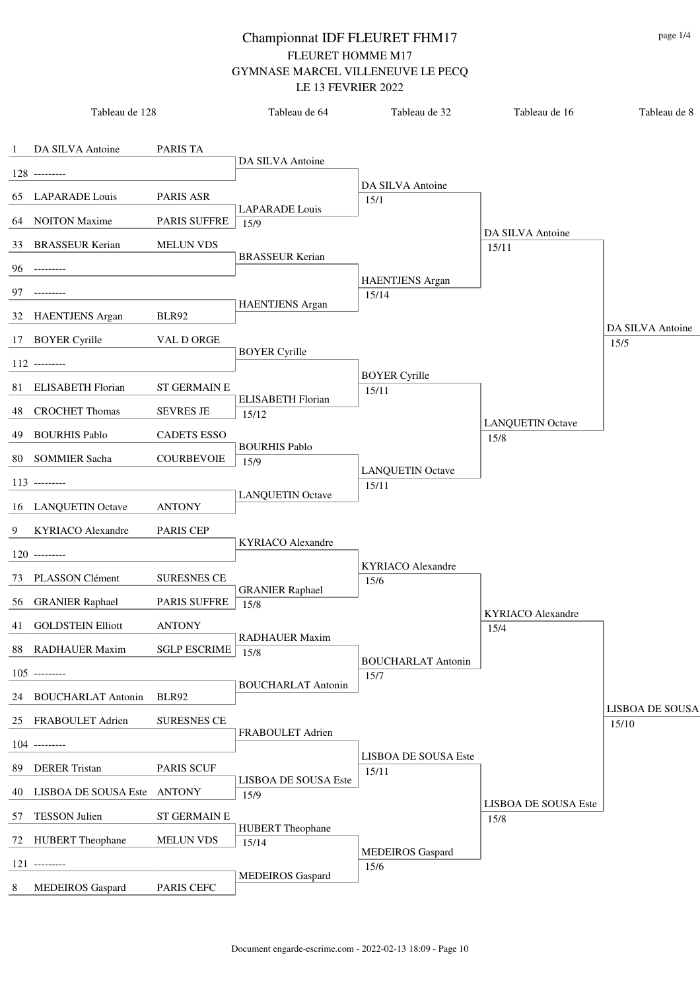|   | Tableau de 128                 |                     | Tableau de 64                  | Tableau de 32                        | Tableau de 16                   | Tableau de 8             |
|---|--------------------------------|---------------------|--------------------------------|--------------------------------------|---------------------------------|--------------------------|
|   | 1 DA SILVA Antoine             | PARIS TA            |                                |                                      |                                 |                          |
|   | $128$ ---------                |                     | DA SILVA Antoine               |                                      |                                 |                          |
|   |                                |                     |                                | DA SILVA Antoine                     |                                 |                          |
|   | 65 LAPARADE Louis              | <b>PARIS ASR</b>    | <b>LAPARADE</b> Louis          | 15/1                                 |                                 |                          |
|   | 64 NOITON Maxime               | <b>PARIS SUFFRE</b> | 15/9                           |                                      | DA SILVA Antoine                |                          |
|   | 33 BRASSEUR Kerian             | <b>MELUN VDS</b>    |                                |                                      | 15/11                           |                          |
|   | $96$ ---------                 |                     | <b>BRASSEUR Kerian</b>         |                                      |                                 |                          |
|   |                                |                     |                                | <b>HAENTJENS</b> Argan               |                                 |                          |
|   | 97 ---------                   |                     | <b>HAENTJENS</b> Argan         | 15/14                                |                                 |                          |
|   | 32 HAENTJENS Argan             | BLR92               |                                |                                      |                                 |                          |
|   | 17 BOYER Cyrille               | VAL D ORGE          |                                |                                      |                                 | DA SILVA Antoine<br>15/5 |
|   | $112$ ---------                |                     | <b>BOYER Cyrille</b>           |                                      |                                 |                          |
|   |                                |                     |                                | <b>BOYER Cyrille</b>                 |                                 |                          |
|   | 81 ELISABETH Florian           | <b>ST GERMAIN E</b> | <b>ELISABETH Florian</b>       | 15/11                                |                                 |                          |
|   | 48 CROCHET Thomas              | <b>SEVRES JE</b>    | 15/12                          |                                      |                                 |                          |
|   | 49 BOURHIS Pablo               | <b>CADETS ESSO</b>  |                                |                                      | <b>LANQUETIN Octave</b><br>15/8 |                          |
|   |                                |                     | <b>BOURHIS Pablo</b>           |                                      |                                 |                          |
|   | 80 SOMMIER Sacha               | <b>COURBEVOIE</b>   | 15/9                           | <b>LANQUETIN Octave</b>              |                                 |                          |
|   | $113$ ---------                |                     |                                | 15/11                                |                                 |                          |
|   | 16 LANQUETIN Octave            | <b>ANTONY</b>       | <b>LANQUETIN Octave</b>        |                                      |                                 |                          |
|   | 9 KYRIACO Alexandre            | <b>PARIS CEP</b>    |                                |                                      |                                 |                          |
|   |                                |                     | <b>KYRIACO</b> Alexandre       |                                      |                                 |                          |
|   | $120$ ---------                |                     |                                | <b>KYRIACO</b> Alexandre             |                                 |                          |
|   | 73 PLASSON Clément             | <b>SURESNES CE</b>  |                                | 15/6                                 |                                 |                          |
|   | 56 GRANIER Raphael             | <b>PARIS SUFFRE</b> | <b>GRANIER Raphael</b><br>15/8 |                                      |                                 |                          |
|   |                                |                     |                                |                                      | KYRIACO Alexandre               |                          |
|   | 41 GOLDSTEIN Elliott           | <b>ANTONY</b>       | RADHAUER Maxim                 |                                      | 15/4                            |                          |
|   | 88 RADHAUER Maxim              | <b>SGLP ESCRIME</b> | 15/8                           | <b>BOUCHARLAT Antonin</b>            |                                 |                          |
|   | $105$ ---------                |                     |                                | 15/7                                 |                                 |                          |
|   | 24 BOUCHARLAT Antonin          | BLR92               | <b>BOUCHARLAT Antonin</b>      |                                      |                                 |                          |
|   |                                |                     |                                |                                      |                                 | <b>LISBOA DE SOUSA</b>   |
|   | 25 FRABOULET Adrien            | <b>SURESNES CE</b>  | FRABOULET Adrien               |                                      |                                 | 15/10                    |
|   | $104$ ---------                |                     |                                |                                      |                                 |                          |
|   | 89 DERER Tristan               | PARIS SCUF          |                                | <b>LISBOA DE SOUSA Este</b><br>15/11 |                                 |                          |
|   |                                |                     | LISBOA DE SOUSA Este           |                                      |                                 |                          |
|   | 40 LISBOA DE SOUSA Este ANTONY |                     | 15/9                           |                                      | <b>LISBOA DE SOUSA Este</b>     |                          |
|   | 57 TESSON Julien               | <b>ST GERMAIN E</b> | <b>HUBERT</b> Theophane        |                                      | 15/8                            |                          |
|   | 72 HUBERT Theophane            | <b>MELUN VDS</b>    | 15/14                          |                                      |                                 |                          |
|   | $121$ ---------                |                     |                                | <b>MEDEIROS</b> Gaspard              |                                 |                          |
|   |                                |                     | <b>MEDEIROS</b> Gaspard        | 15/6                                 |                                 |                          |
| 8 | <b>MEDEIROS</b> Gaspard        | PARIS CEFC          |                                |                                      |                                 |                          |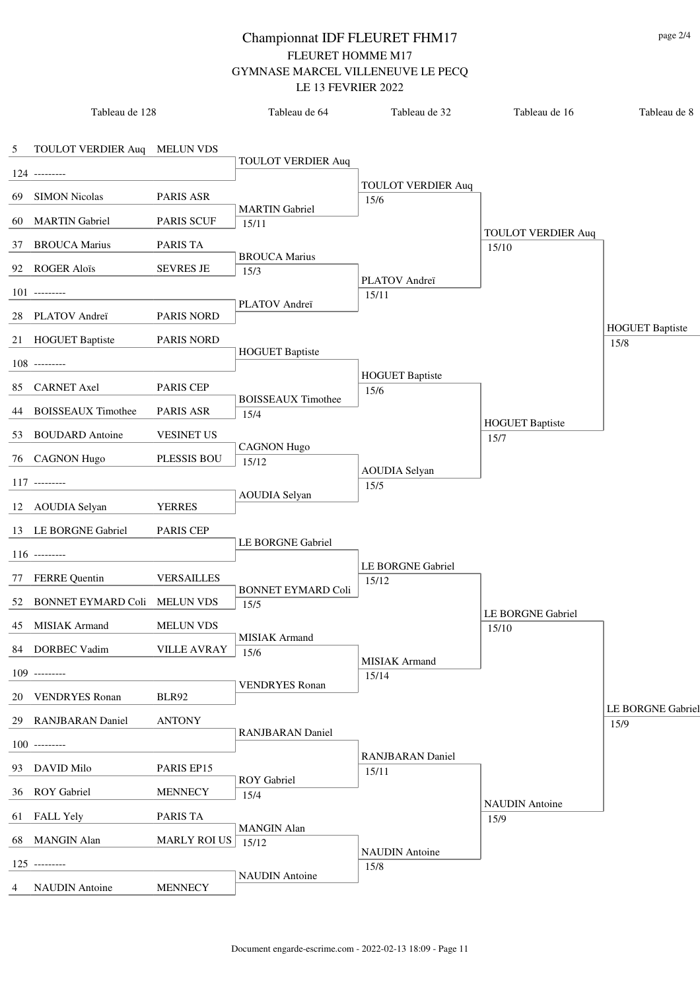|                | Tableau de 128                  |                     | Tableau de 64               | Tableau de 32                 | Tableau de 16                  | Tableau de 8                   |
|----------------|---------------------------------|---------------------|-----------------------------|-------------------------------|--------------------------------|--------------------------------|
| $\mathfrak{S}$ | TOULOT VERDIER Auq MELUN VDS    |                     |                             |                               |                                |                                |
|                | $124$ ---------                 |                     | <b>TOULOT VERDIER Auq</b>   |                               |                                |                                |
| 69             | <b>SIMON Nicolas</b>            | PARIS ASR           |                             | <b>TOULOT VERDIER Auq</b>     |                                |                                |
|                |                                 |                     | <b>MARTIN Gabriel</b>       | 15/6                          |                                |                                |
|                | 60 MARTIN Gabriel               | <b>PARIS SCUF</b>   | 15/11                       |                               | <b>TOULOT VERDIER Auq</b>      |                                |
|                | 37 BROUCA Marius                | PARIS TA            | <b>BROUCA Marius</b>        |                               | 15/10                          |                                |
|                | 92 ROGER Aloïs                  | <b>SEVRES JE</b>    | 15/3                        |                               |                                |                                |
|                | $101$ ---------                 |                     |                             | PLATOV Andreï<br>15/11        |                                |                                |
|                | 28 PLATOV Andreï                | <b>PARIS NORD</b>   | PLATOV Andreï               |                               |                                |                                |
|                | 21 HOGUET Baptiste              | PARIS NORD          |                             |                               |                                | <b>HOGUET Baptiste</b><br>15/8 |
|                |                                 |                     | <b>HOGUET Baptiste</b>      |                               |                                |                                |
|                | $108$ ---------                 |                     |                             | <b>HOGUET Baptiste</b>        |                                |                                |
|                | 85 CARNET Axel                  | <b>PARIS CEP</b>    | <b>BOISSEAUX Timothee</b>   | 15/6                          |                                |                                |
|                | 44 BOISSEAUX Timothee           | PARIS ASR           | 15/4                        |                               |                                |                                |
|                | 53 BOUDARD Antoine              | <b>VESINET US</b>   |                             |                               | <b>HOGUET Baptiste</b><br>15/7 |                                |
|                | 76 CAGNON Hugo                  | PLESSIS BOU         | <b>CAGNON Hugo</b><br>15/12 |                               |                                |                                |
|                | $117$ ---------                 |                     |                             | <b>AOUDIA</b> Selyan          |                                |                                |
|                |                                 |                     | <b>AOUDIA</b> Selyan        | 15/5                          |                                |                                |
|                | 12 AOUDIA Selyan                | <b>YERRES</b>       |                             |                               |                                |                                |
|                | 13 LE BORGNE Gabriel            | <b>PARIS CEP</b>    | LE BORGNE Gabriel           |                               |                                |                                |
|                | $116$ ---------                 |                     |                             |                               |                                |                                |
|                | 77 FERRE Quentin                | <b>VERSAILLES</b>   |                             | LE BORGNE Gabriel<br>15/12    |                                |                                |
|                | 52 BONNET EYMARD Coli MELUN VDS |                     | <b>BONNET EYMARD Coli</b>   |                               |                                |                                |
|                |                                 |                     | 15/5                        |                               | LE BORGNE Gabriel              |                                |
|                | 45 MISIAK Armand                | <b>MELUN VDS</b>    | MISIAK Armand               |                               | 15/10                          |                                |
|                | 84 DORBEC Vadim                 | <b>VILLE AVRAY</b>  | 15/6                        | <b>MISIAK</b> Armand          |                                |                                |
|                | $109$ ---------                 |                     |                             | 15/14                         |                                |                                |
|                | 20 VENDRYES Ronan               | <b>BLR92</b>        | <b>VENDRYES Ronan</b>       |                               |                                |                                |
|                | 29 RANJBARAN Daniel             | <b>ANTONY</b>       |                             |                               |                                | LE BORGNE Gabriel<br>15/9      |
|                | $100$ ---------                 |                     | <b>RANJBARAN</b> Daniel     |                               |                                |                                |
|                |                                 |                     |                             | <b>RANJBARAN Daniel</b>       |                                |                                |
|                | 93 DAVID Milo                   | PARIS EP15          | <b>ROY</b> Gabriel          | 15/11                         |                                |                                |
|                | 36 ROY Gabriel                  | <b>MENNECY</b>      | 15/4                        |                               | <b>NAUDIN</b> Antoine          |                                |
|                | 61 FALL Yely                    | PARIS TA            |                             |                               | 15/9                           |                                |
|                | 68 MANGIN Alan                  | <b>MARLY ROI US</b> | <b>MANGIN</b> Alan<br>15/12 |                               |                                |                                |
|                | $125$ ---------                 |                     |                             | <b>NAUDIN</b> Antoine<br>15/8 |                                |                                |
| $4 \quad$      | <b>NAUDIN</b> Antoine           | <b>MENNECY</b>      | <b>NAUDIN</b> Antoine       |                               |                                |                                |
|                |                                 |                     |                             |                               |                                |                                |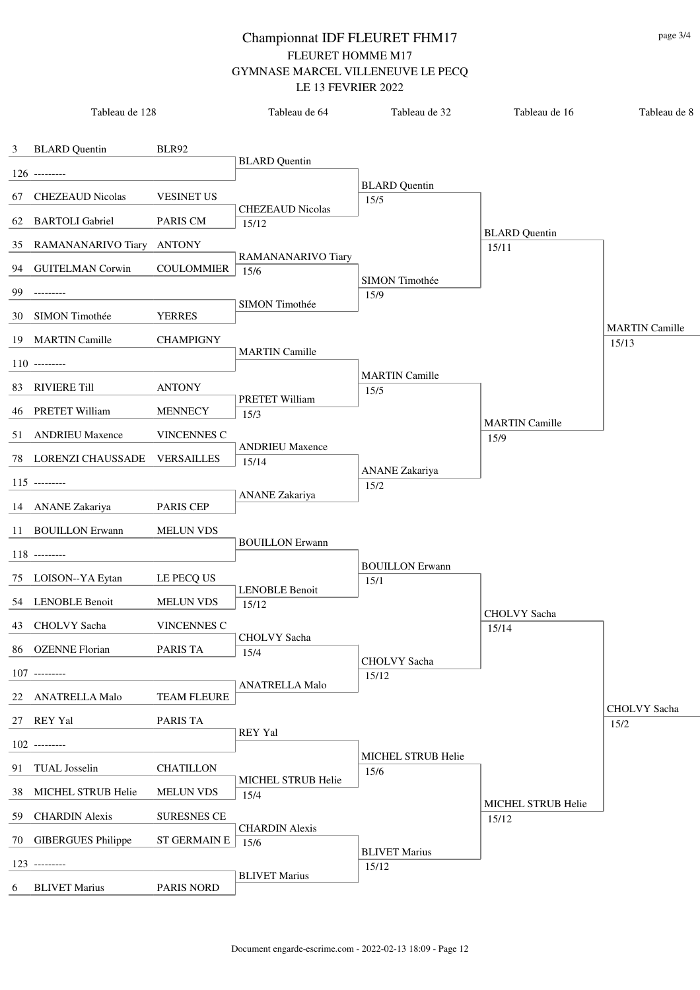| <b>BLARD</b> Quentin<br>BLR92<br>$\mathbf{3}$<br><b>BLARD</b> Quentin<br>$126$ ---------<br><b>BLARD</b> Quentin<br><b>CHEZEAUD Nicolas</b><br><b>VESINET US</b><br>67<br>15/5<br><b>CHEZEAUD Nicolas</b><br><b>BARTOLI</b> Gabriel<br>PARIS CM<br>62<br>15/12<br><b>BLARD</b> Quentin<br>35 RAMANANARIVO Tiary ANTONY<br>15/11<br>RAMANANARIVO Tiary<br>94 GUITELMAN Corwin<br><b>COULOMMIER</b><br>15/6<br>SIMON Timothée<br>99<br>15/9<br>SIMON Timothée<br>SIMON Timothée<br><b>YERRES</b><br>30<br><b>MARTIN</b> Camille<br>19 MARTIN Camille<br><b>CHAMPIGNY</b><br>15/13<br><b>MARTIN Camille</b><br>$110$ ---------<br><b>MARTIN Camille</b><br>83 RIVIERE Till<br><b>ANTONY</b><br>15/5<br>PRETET William<br>46 PRETET William<br><b>MENNECY</b><br>15/3<br><b>MARTIN Camille</b><br>51 ANDRIEU Maxence<br><b>VINCENNES C</b><br>15/9<br><b>ANDRIEU Maxence</b><br>VERSAILLES<br>78 LORENZI CHAUSSADE<br>15/14<br><b>ANANE</b> Zakariya<br>$115$ ---------<br>15/2<br><b>ANANE</b> Zakariya<br>14 ANANE Zakariya<br><b>PARIS CEP</b><br>11 BOUILLON Erwann<br><b>MELUN VDS</b><br><b>BOUILLON Erwann</b><br>$118$ --------<br><b>BOUILLON Erwann</b><br>75 LOISON--YA Eytan<br>LE PECQ US<br>15/1<br><b>LENOBLE Benoit</b><br>54 LENOBLE Benoit<br><b>MELUN VDS</b><br>15/12<br>CHOLVY Sacha<br>VINCENNES C<br>43 CHOLVY Sacha<br>15/14<br>CHOLVY Sacha<br>86 OZENNE Florian<br>PARIS TA<br>15/4<br>CHOLVY Sacha<br>$107$ ---------<br>15/12<br><b>ANATRELLA Malo</b><br>22 ANATRELLA Malo<br><b>TEAM FLEURE</b><br>CHOLVY Sacha<br>27 REY Yal<br>PARIS TA<br>15/2<br><b>REY Yal</b><br>$102$ ---------<br>MICHEL STRUB Helie<br><b>CHATILLON</b><br>91 TUAL Josselin<br>15/6<br>MICHEL STRUB Helie<br>38 MICHEL STRUB Helie<br><b>MELUN VDS</b><br>15/4<br>MICHEL STRUB Helie<br>59 CHARDIN Alexis<br><b>SURESNES CE</b><br>15/12<br><b>CHARDIN Alexis</b> | Tableau de 128 | Tableau de 64 | Tableau de 32 | Tableau de 16 | Tableau de 8 |
|----------------------------------------------------------------------------------------------------------------------------------------------------------------------------------------------------------------------------------------------------------------------------------------------------------------------------------------------------------------------------------------------------------------------------------------------------------------------------------------------------------------------------------------------------------------------------------------------------------------------------------------------------------------------------------------------------------------------------------------------------------------------------------------------------------------------------------------------------------------------------------------------------------------------------------------------------------------------------------------------------------------------------------------------------------------------------------------------------------------------------------------------------------------------------------------------------------------------------------------------------------------------------------------------------------------------------------------------------------------------------------------------------------------------------------------------------------------------------------------------------------------------------------------------------------------------------------------------------------------------------------------------------------------------------------------------------------------------------------------------------------------------------------------------------------------------------------------------------------------------|----------------|---------------|---------------|---------------|--------------|
|                                                                                                                                                                                                                                                                                                                                                                                                                                                                                                                                                                                                                                                                                                                                                                                                                                                                                                                                                                                                                                                                                                                                                                                                                                                                                                                                                                                                                                                                                                                                                                                                                                                                                                                                                                                                                                                                      |                |               |               |               |              |
|                                                                                                                                                                                                                                                                                                                                                                                                                                                                                                                                                                                                                                                                                                                                                                                                                                                                                                                                                                                                                                                                                                                                                                                                                                                                                                                                                                                                                                                                                                                                                                                                                                                                                                                                                                                                                                                                      |                |               |               |               |              |
|                                                                                                                                                                                                                                                                                                                                                                                                                                                                                                                                                                                                                                                                                                                                                                                                                                                                                                                                                                                                                                                                                                                                                                                                                                                                                                                                                                                                                                                                                                                                                                                                                                                                                                                                                                                                                                                                      |                |               |               |               |              |
|                                                                                                                                                                                                                                                                                                                                                                                                                                                                                                                                                                                                                                                                                                                                                                                                                                                                                                                                                                                                                                                                                                                                                                                                                                                                                                                                                                                                                                                                                                                                                                                                                                                                                                                                                                                                                                                                      |                |               |               |               |              |
|                                                                                                                                                                                                                                                                                                                                                                                                                                                                                                                                                                                                                                                                                                                                                                                                                                                                                                                                                                                                                                                                                                                                                                                                                                                                                                                                                                                                                                                                                                                                                                                                                                                                                                                                                                                                                                                                      |                |               |               |               |              |
|                                                                                                                                                                                                                                                                                                                                                                                                                                                                                                                                                                                                                                                                                                                                                                                                                                                                                                                                                                                                                                                                                                                                                                                                                                                                                                                                                                                                                                                                                                                                                                                                                                                                                                                                                                                                                                                                      |                |               |               |               |              |
|                                                                                                                                                                                                                                                                                                                                                                                                                                                                                                                                                                                                                                                                                                                                                                                                                                                                                                                                                                                                                                                                                                                                                                                                                                                                                                                                                                                                                                                                                                                                                                                                                                                                                                                                                                                                                                                                      |                |               |               |               |              |
|                                                                                                                                                                                                                                                                                                                                                                                                                                                                                                                                                                                                                                                                                                                                                                                                                                                                                                                                                                                                                                                                                                                                                                                                                                                                                                                                                                                                                                                                                                                                                                                                                                                                                                                                                                                                                                                                      |                |               |               |               |              |
|                                                                                                                                                                                                                                                                                                                                                                                                                                                                                                                                                                                                                                                                                                                                                                                                                                                                                                                                                                                                                                                                                                                                                                                                                                                                                                                                                                                                                                                                                                                                                                                                                                                                                                                                                                                                                                                                      |                |               |               |               |              |
|                                                                                                                                                                                                                                                                                                                                                                                                                                                                                                                                                                                                                                                                                                                                                                                                                                                                                                                                                                                                                                                                                                                                                                                                                                                                                                                                                                                                                                                                                                                                                                                                                                                                                                                                                                                                                                                                      |                |               |               |               |              |
|                                                                                                                                                                                                                                                                                                                                                                                                                                                                                                                                                                                                                                                                                                                                                                                                                                                                                                                                                                                                                                                                                                                                                                                                                                                                                                                                                                                                                                                                                                                                                                                                                                                                                                                                                                                                                                                                      |                |               |               |               |              |
|                                                                                                                                                                                                                                                                                                                                                                                                                                                                                                                                                                                                                                                                                                                                                                                                                                                                                                                                                                                                                                                                                                                                                                                                                                                                                                                                                                                                                                                                                                                                                                                                                                                                                                                                                                                                                                                                      |                |               |               |               |              |
|                                                                                                                                                                                                                                                                                                                                                                                                                                                                                                                                                                                                                                                                                                                                                                                                                                                                                                                                                                                                                                                                                                                                                                                                                                                                                                                                                                                                                                                                                                                                                                                                                                                                                                                                                                                                                                                                      |                |               |               |               |              |
|                                                                                                                                                                                                                                                                                                                                                                                                                                                                                                                                                                                                                                                                                                                                                                                                                                                                                                                                                                                                                                                                                                                                                                                                                                                                                                                                                                                                                                                                                                                                                                                                                                                                                                                                                                                                                                                                      |                |               |               |               |              |
|                                                                                                                                                                                                                                                                                                                                                                                                                                                                                                                                                                                                                                                                                                                                                                                                                                                                                                                                                                                                                                                                                                                                                                                                                                                                                                                                                                                                                                                                                                                                                                                                                                                                                                                                                                                                                                                                      |                |               |               |               |              |
|                                                                                                                                                                                                                                                                                                                                                                                                                                                                                                                                                                                                                                                                                                                                                                                                                                                                                                                                                                                                                                                                                                                                                                                                                                                                                                                                                                                                                                                                                                                                                                                                                                                                                                                                                                                                                                                                      |                |               |               |               |              |
|                                                                                                                                                                                                                                                                                                                                                                                                                                                                                                                                                                                                                                                                                                                                                                                                                                                                                                                                                                                                                                                                                                                                                                                                                                                                                                                                                                                                                                                                                                                                                                                                                                                                                                                                                                                                                                                                      |                |               |               |               |              |
|                                                                                                                                                                                                                                                                                                                                                                                                                                                                                                                                                                                                                                                                                                                                                                                                                                                                                                                                                                                                                                                                                                                                                                                                                                                                                                                                                                                                                                                                                                                                                                                                                                                                                                                                                                                                                                                                      |                |               |               |               |              |
|                                                                                                                                                                                                                                                                                                                                                                                                                                                                                                                                                                                                                                                                                                                                                                                                                                                                                                                                                                                                                                                                                                                                                                                                                                                                                                                                                                                                                                                                                                                                                                                                                                                                                                                                                                                                                                                                      |                |               |               |               |              |
|                                                                                                                                                                                                                                                                                                                                                                                                                                                                                                                                                                                                                                                                                                                                                                                                                                                                                                                                                                                                                                                                                                                                                                                                                                                                                                                                                                                                                                                                                                                                                                                                                                                                                                                                                                                                                                                                      |                |               |               |               |              |
|                                                                                                                                                                                                                                                                                                                                                                                                                                                                                                                                                                                                                                                                                                                                                                                                                                                                                                                                                                                                                                                                                                                                                                                                                                                                                                                                                                                                                                                                                                                                                                                                                                                                                                                                                                                                                                                                      |                |               |               |               |              |
|                                                                                                                                                                                                                                                                                                                                                                                                                                                                                                                                                                                                                                                                                                                                                                                                                                                                                                                                                                                                                                                                                                                                                                                                                                                                                                                                                                                                                                                                                                                                                                                                                                                                                                                                                                                                                                                                      |                |               |               |               |              |
|                                                                                                                                                                                                                                                                                                                                                                                                                                                                                                                                                                                                                                                                                                                                                                                                                                                                                                                                                                                                                                                                                                                                                                                                                                                                                                                                                                                                                                                                                                                                                                                                                                                                                                                                                                                                                                                                      |                |               |               |               |              |
|                                                                                                                                                                                                                                                                                                                                                                                                                                                                                                                                                                                                                                                                                                                                                                                                                                                                                                                                                                                                                                                                                                                                                                                                                                                                                                                                                                                                                                                                                                                                                                                                                                                                                                                                                                                                                                                                      |                |               |               |               |              |
|                                                                                                                                                                                                                                                                                                                                                                                                                                                                                                                                                                                                                                                                                                                                                                                                                                                                                                                                                                                                                                                                                                                                                                                                                                                                                                                                                                                                                                                                                                                                                                                                                                                                                                                                                                                                                                                                      |                |               |               |               |              |
|                                                                                                                                                                                                                                                                                                                                                                                                                                                                                                                                                                                                                                                                                                                                                                                                                                                                                                                                                                                                                                                                                                                                                                                                                                                                                                                                                                                                                                                                                                                                                                                                                                                                                                                                                                                                                                                                      |                |               |               |               |              |
|                                                                                                                                                                                                                                                                                                                                                                                                                                                                                                                                                                                                                                                                                                                                                                                                                                                                                                                                                                                                                                                                                                                                                                                                                                                                                                                                                                                                                                                                                                                                                                                                                                                                                                                                                                                                                                                                      |                |               |               |               |              |
|                                                                                                                                                                                                                                                                                                                                                                                                                                                                                                                                                                                                                                                                                                                                                                                                                                                                                                                                                                                                                                                                                                                                                                                                                                                                                                                                                                                                                                                                                                                                                                                                                                                                                                                                                                                                                                                                      |                |               |               |               |              |
|                                                                                                                                                                                                                                                                                                                                                                                                                                                                                                                                                                                                                                                                                                                                                                                                                                                                                                                                                                                                                                                                                                                                                                                                                                                                                                                                                                                                                                                                                                                                                                                                                                                                                                                                                                                                                                                                      |                |               |               |               |              |
|                                                                                                                                                                                                                                                                                                                                                                                                                                                                                                                                                                                                                                                                                                                                                                                                                                                                                                                                                                                                                                                                                                                                                                                                                                                                                                                                                                                                                                                                                                                                                                                                                                                                                                                                                                                                                                                                      |                |               |               |               |              |
|                                                                                                                                                                                                                                                                                                                                                                                                                                                                                                                                                                                                                                                                                                                                                                                                                                                                                                                                                                                                                                                                                                                                                                                                                                                                                                                                                                                                                                                                                                                                                                                                                                                                                                                                                                                                                                                                      |                |               |               |               |              |
| 70 GIBERGUES Philippe<br><b>ST GERMAIN E</b><br>15/6                                                                                                                                                                                                                                                                                                                                                                                                                                                                                                                                                                                                                                                                                                                                                                                                                                                                                                                                                                                                                                                                                                                                                                                                                                                                                                                                                                                                                                                                                                                                                                                                                                                                                                                                                                                                                 |                |               |               |               |              |
| <b>BLIVET Marius</b><br>$123$ ---------<br>15/12                                                                                                                                                                                                                                                                                                                                                                                                                                                                                                                                                                                                                                                                                                                                                                                                                                                                                                                                                                                                                                                                                                                                                                                                                                                                                                                                                                                                                                                                                                                                                                                                                                                                                                                                                                                                                     |                |               |               |               |              |
| <b>BLIVET Marius</b><br><b>BLIVET Marius</b><br>PARIS NORD<br>6                                                                                                                                                                                                                                                                                                                                                                                                                                                                                                                                                                                                                                                                                                                                                                                                                                                                                                                                                                                                                                                                                                                                                                                                                                                                                                                                                                                                                                                                                                                                                                                                                                                                                                                                                                                                      |                |               |               |               |              |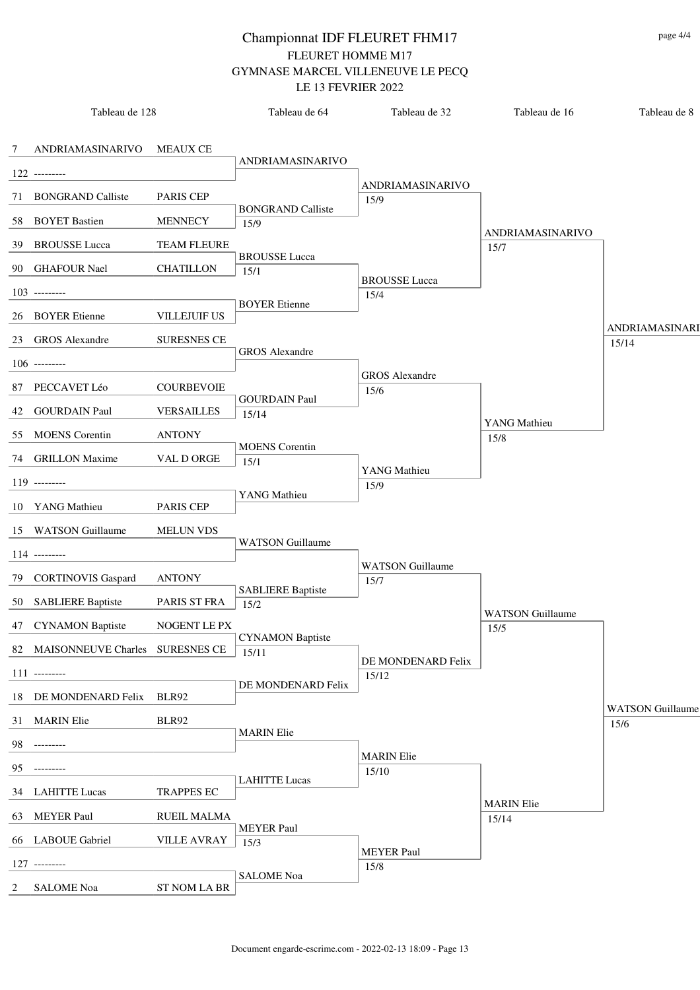|                 | Tableau de 128                     |                     | Tableau de 64                    | Tableau de 32            | Tableau de 16           | Tableau de 8                    |
|-----------------|------------------------------------|---------------------|----------------------------------|--------------------------|-------------------------|---------------------------------|
| $7\overline{ }$ | ANDRIAMASINARIVO                   | MEAUX CE            | ANDRIAMASINARIVO                 |                          |                         |                                 |
|                 | $122$ ---------                    |                     |                                  |                          |                         |                                 |
|                 | 71 BONGRAND Calliste               | <b>PARIS CEP</b>    |                                  | ANDRIAMASINARIVO<br>15/9 |                         |                                 |
|                 | 58 BOYET Bastien                   | <b>MENNECY</b>      | <b>BONGRAND Calliste</b><br>15/9 |                          | <b>ANDRIAMASINARIVO</b> |                                 |
|                 | 39 BROUSSE Lucca                   | <b>TEAM FLEURE</b>  | <b>BROUSSE</b> Lucca             |                          | 15/7                    |                                 |
|                 | 90 GHAFOUR Nael                    | <b>CHATILLON</b>    | 15/1                             | <b>BROUSSE</b> Lucca     |                         |                                 |
|                 | $103$ ---------                    |                     | <b>BOYER</b> Etienne             | 15/4                     |                         |                                 |
|                 | 26 BOYER Etienne                   | <b>VILLEJUIF US</b> |                                  |                          |                         | ANDRIAMASINARI                  |
|                 | 23 GROS Alexandre                  | <b>SURESNES CE</b>  |                                  |                          |                         | 15/14                           |
|                 | $106$ ---------                    |                     | <b>GROS</b> Alexandre            |                          |                         |                                 |
|                 |                                    |                     |                                  | <b>GROS</b> Alexandre    |                         |                                 |
|                 | 87 PECCAVET Léo                    | <b>COURBEVOIE</b>   | <b>GOURDAIN Paul</b>             | 15/6                     |                         |                                 |
|                 | 42 GOURDAIN Paul                   | <b>VERSAILLES</b>   | 15/14                            |                          | YANG Mathieu            |                                 |
|                 | 55 MOENS Corentin                  | <b>ANTONY</b>       |                                  |                          | 15/8                    |                                 |
|                 | 74 GRILLON Maxime                  | VAL D ORGE          | <b>MOENS</b> Corentin<br>15/1    | YANG Mathieu             |                         |                                 |
|                 | $119$ ---------                    |                     |                                  | 15/9                     |                         |                                 |
|                 | 10 YANG Mathieu                    | <b>PARIS CEP</b>    | YANG Mathieu                     |                          |                         |                                 |
|                 | 15 WATSON Guillaume                | <b>MELUN VDS</b>    |                                  |                          |                         |                                 |
|                 | $114$ ---------                    |                     | <b>WATSON</b> Guillaume          |                          |                         |                                 |
|                 |                                    |                     |                                  | <b>WATSON</b> Guillaume  |                         |                                 |
|                 | 79 CORTINOVIS Gaspard              | <b>ANTONY</b>       | <b>SABLIERE Baptiste</b>         | 15/7                     |                         |                                 |
|                 | 50 SABLIERE Baptiste               | PARIS ST FRA        | 15/2                             |                          | <b>WATSON</b> Guillaume |                                 |
|                 | 47 CYNAMON Baptiste                | NOGENT LE PX        |                                  |                          | 15/5                    |                                 |
|                 | 82 MAISONNEUVE Charles SURESNES CE |                     | <b>CYNAMON Baptiste</b><br>15/11 | DE MONDENARD Felix       |                         |                                 |
|                 | $111$ ---------                    |                     |                                  | 15/12                    |                         |                                 |
|                 | 18 DE MONDENARD Felix BLR92        |                     | DE MONDENARD Felix               |                          |                         |                                 |
|                 | 31 MARIN Elie                      | BLR92               |                                  |                          |                         | <b>WATSON Guillaume</b><br>15/6 |
|                 | 98 ---------                       |                     | <b>MARIN</b> Elie                |                          |                         |                                 |
|                 |                                    |                     |                                  | <b>MARIN</b> Elie        |                         |                                 |
| 95              |                                    |                     | <b>LAHITTE Lucas</b>             | 15/10                    |                         |                                 |
|                 | 34 LAHITTE Lucas                   | <b>TRAPPES EC</b>   |                                  |                          | <b>MARIN</b> Elie       |                                 |
|                 | 63 MEYER Paul                      | <b>RUEIL MALMA</b>  | <b>MEYER Paul</b>                |                          | 15/14                   |                                 |
|                 | 66 LABOUE Gabriel                  | <b>VILLE AVRAY</b>  | 15/3                             | <b>MEYER Paul</b>        |                         |                                 |
|                 | $127$ ---------                    |                     |                                  | 15/8                     |                         |                                 |
| 2               | <b>SALOME Noa</b>                  | ST NOM LA BR        | <b>SALOME</b> Noa                |                          |                         |                                 |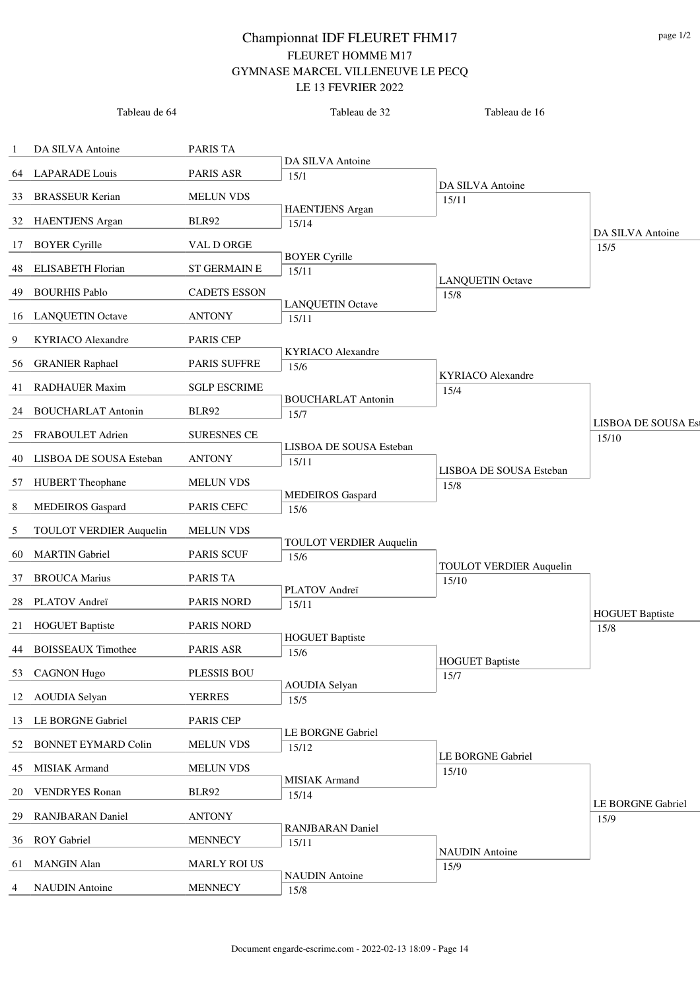|    | Tableau de 64                  |                     | Tableau de 32                    | Tableau de 16                   |                                    |
|----|--------------------------------|---------------------|----------------------------------|---------------------------------|------------------------------------|
| 1  | DA SILVA Antoine               | PARIS TA            |                                  |                                 |                                    |
| 64 | <b>LAPARADE</b> Louis          | PARIS ASR           | DA SILVA Antoine                 |                                 |                                    |
|    |                                |                     | 15/1                             | DA SILVA Antoine                |                                    |
| 33 | <b>BRASSEUR Kerian</b>         | <b>MELUN VDS</b>    | <b>HAENTJENS</b> Argan           | 15/11                           |                                    |
|    | 32 HAENTJENS Argan             | BLR92               | 15/14                            |                                 | DA SILVA Antoine                   |
| 17 | <b>BOYER Cyrille</b>           | VAL D ORGE          |                                  |                                 | 15/5                               |
| 48 | <b>ELISABETH Florian</b>       | <b>ST GERMAIN E</b> | <b>BOYER Cyrille</b><br>15/11    |                                 |                                    |
| 49 | <b>BOURHIS Pablo</b>           | <b>CADETS ESSON</b> |                                  | <b>LANQUETIN Octave</b><br>15/8 |                                    |
| 16 | <b>LANQUETIN Octave</b>        | <b>ANTONY</b>       | <b>LANQUETIN Octave</b><br>15/11 |                                 |                                    |
| 9  | <b>KYRIACO</b> Alexandre       | <b>PARIS CEP</b>    |                                  |                                 |                                    |
|    |                                |                     | <b>KYRIACO</b> Alexandre         |                                 |                                    |
| 56 | <b>GRANIER Raphael</b>         | PARIS SUFFRE        | 15/6                             | <b>KYRIACO</b> Alexandre        |                                    |
| 41 | <b>RADHAUER Maxim</b>          | <b>SGLP ESCRIME</b> | <b>BOUCHARLAT Antonin</b>        | 15/4                            |                                    |
| 24 | <b>BOUCHARLAT Antonin</b>      | <b>BLR92</b>        | 15/7                             |                                 |                                    |
| 25 | FRABOULET Adrien               | <b>SURESNES CE</b>  |                                  |                                 | <b>LISBOA DE SOUSA Es</b><br>15/10 |
| 40 | LISBOA DE SOUSA Esteban        | <b>ANTONY</b>       | LISBOA DE SOUSA Esteban<br>15/11 |                                 |                                    |
| 57 | <b>HUBERT</b> Theophane        | <b>MELUN VDS</b>    |                                  | LISBOA DE SOUSA Esteban<br>15/8 |                                    |
| 8  | <b>MEDEIROS</b> Gaspard        | PARIS CEFC          | <b>MEDEIROS</b> Gaspard          |                                 |                                    |
|    |                                |                     | 15/6                             |                                 |                                    |
| 5  | <b>TOULOT VERDIER Auquelin</b> | <b>MELUN VDS</b>    | <b>TOULOT VERDIER Auquelin</b>   |                                 |                                    |
| 60 | <b>MARTIN</b> Gabriel          | <b>PARIS SCUF</b>   | 15/6                             | <b>TOULOT VERDIER Auquelin</b>  |                                    |
| 37 | <b>BROUCA Marius</b>           | PARIS TA            | PLATOV Andreï                    | 15/10                           |                                    |
| 28 | PLATOV Andreï                  | <b>PARIS NORD</b>   | 15/11                            |                                 |                                    |
|    | 21 HOGUET Baptiste             | <b>PARIS NORD</b>   |                                  |                                 | <b>HOGUET Baptiste</b><br>15/8     |
|    | 44 BOISSEAUX Timothee          | PARIS ASR           | <b>HOGUET Baptiste</b><br>15/6   |                                 |                                    |
| 53 | <b>CAGNON Hugo</b>             | PLESSIS BOU         |                                  | <b>HOGUET Baptiste</b>          |                                    |
|    |                                |                     | <b>AOUDIA Selyan</b>             | 15/7                            |                                    |
| 12 | <b>AOUDIA Selyan</b>           | <b>YERRES</b>       | 15/5                             |                                 |                                    |
|    | 13 LE BORGNE Gabriel           | <b>PARIS CEP</b>    | LE BORGNE Gabriel                |                                 |                                    |
| 52 | <b>BONNET EYMARD Colin</b>     | <b>MELUN VDS</b>    | 15/12                            | LE BORGNE Gabriel               |                                    |
| 45 | MISIAK Armand                  | <b>MELUN VDS</b>    |                                  | 15/10                           |                                    |
| 20 | <b>VENDRYES</b> Ronan          | <b>BLR92</b>        | <b>MISIAK</b> Armand<br>15/14    |                                 |                                    |
| 29 | <b>RANJBARAN</b> Daniel        | <b>ANTONY</b>       |                                  |                                 | LE BORGNE Gabriel<br>15/9          |
| 36 | <b>ROY</b> Gabriel             | <b>MENNECY</b>      | RANJBARAN Daniel                 |                                 |                                    |
|    |                                |                     | 15/11                            | <b>NAUDIN</b> Antoine           |                                    |
| 61 | <b>MANGIN Alan</b>             | <b>MARLY ROI US</b> | <b>NAUDIN</b> Antoine            | 15/9                            |                                    |
| 4  | <b>NAUDIN</b> Antoine          | <b>MENNECY</b>      | 15/8                             |                                 |                                    |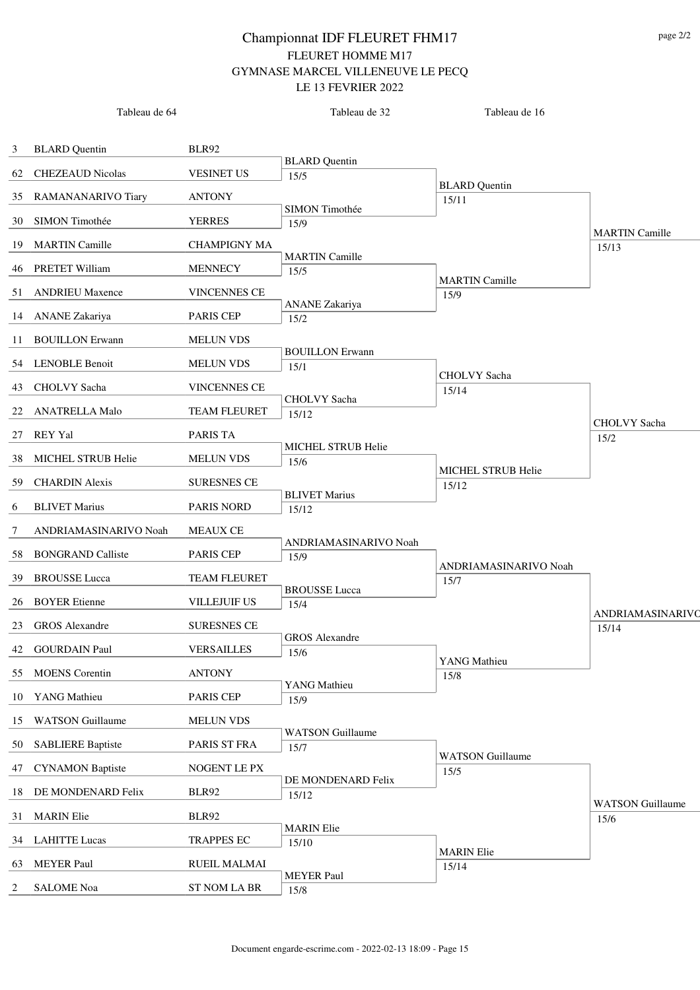|    | Tableau de 64            |                     | Tableau de 32                 | Tableau de 16                 |                                 |
|----|--------------------------|---------------------|-------------------------------|-------------------------------|---------------------------------|
| 3  | <b>BLARD</b> Quentin     | BLR92               |                               |                               |                                 |
| 62 | <b>CHEZEAUD Nicolas</b>  | <b>VESINET US</b>   | <b>BLARD</b> Quentin          |                               |                                 |
|    |                          |                     | 15/5                          | <b>BLARD</b> Quentin          |                                 |
| 35 | RAMANANARIVO Tiary       | <b>ANTONY</b>       | SIMON Timothée                | 15/11                         |                                 |
| 30 | SIMON Timothée           | <b>YERRES</b>       | 15/9                          |                               | <b>MARTIN</b> Camille           |
| 19 | <b>MARTIN Camille</b>    | <b>CHAMPIGNY MA</b> |                               |                               | 15/13                           |
|    | 46 PRETET William        | <b>MENNECY</b>      | <b>MARTIN Camille</b><br>15/5 |                               |                                 |
| 51 | <b>ANDRIEU Maxence</b>   | <b>VINCENNES CE</b> |                               | <b>MARTIN Camille</b><br>15/9 |                                 |
|    | 14 ANANE Zakariya        | <b>PARIS CEP</b>    | <b>ANANE</b> Zakariya<br>15/2 |                               |                                 |
| 11 | <b>BOUILLON Erwann</b>   | <b>MELUN VDS</b>    |                               |                               |                                 |
|    |                          |                     | <b>BOUILLON Erwann</b>        |                               |                                 |
|    | 54 LENOBLE Benoit        | <b>MELUN VDS</b>    | 15/1                          | CHOLVY Sacha                  |                                 |
| 43 | CHOLVY Sacha             | <b>VINCENNES CE</b> | <b>CHOLVY</b> Sacha           | 15/14                         |                                 |
| 22 | <b>ANATRELLA Malo</b>    | <b>TEAM FLEURET</b> | 15/12                         |                               | CHOLVY Sacha                    |
| 27 | <b>REY Yal</b>           | <b>PARIS TA</b>     |                               |                               | 15/2                            |
| 38 | MICHEL STRUB Helie       | <b>MELUN VDS</b>    | MICHEL STRUB Helie<br>15/6    |                               |                                 |
| 59 | <b>CHARDIN</b> Alexis    | <b>SURESNES CE</b>  |                               | MICHEL STRUB Helie            |                                 |
|    | <b>BLIVET Marius</b>     | <b>PARIS NORD</b>   | <b>BLIVET Marius</b>          | 15/12                         |                                 |
| 6  |                          |                     | 15/12                         |                               |                                 |
| 7  | ANDRIAMASINARIVO Noah    | <b>MEAUX CE</b>     | ANDRIAMASINARIVO Noah         |                               |                                 |
| 58 | <b>BONGRAND Calliste</b> | <b>PARIS CEP</b>    | 15/9                          | ANDRIAMASINARIVO Noah         |                                 |
| 39 | <b>BROUSSE</b> Lucca     | <b>TEAM FLEURET</b> |                               | 15/7                          |                                 |
|    | 26 BOYER Etienne         | <b>VILLEJUIF US</b> | <b>BROUSSE</b> Lucca<br>15/4  |                               |                                 |
| 23 | <b>GROS</b> Alexandre    | <b>SURESNES CE</b>  |                               |                               | ANDRIAMASINARIVO<br>15/14       |
|    | 42 GOURDAIN Paul         | <b>VERSAILLES</b>   | <b>GROS</b> Alexandre<br>15/6 |                               |                                 |
| 55 | <b>MOENS</b> Corentin    | <b>ANTONY</b>       |                               | YANG Mathieu                  |                                 |
|    |                          |                     | YANG Mathieu                  | 15/8                          |                                 |
|    | 10 YANG Mathieu          | <b>PARIS CEP</b>    | 15/9                          |                               |                                 |
| 15 | <b>WATSON Guillaume</b>  | <b>MELUN VDS</b>    | <b>WATSON Guillaume</b>       |                               |                                 |
| 50 | <b>SABLIERE Baptiste</b> | PARIS ST FRA        | 15/7                          | <b>WATSON</b> Guillaume       |                                 |
| 47 | <b>CYNAMON Baptiste</b>  | NOGENT LE PX        |                               | 15/5                          |                                 |
| 18 | DE MONDENARD Felix       | <b>BLR92</b>        | DE MONDENARD Felix<br>15/12   |                               |                                 |
| 31 | <b>MARIN Elie</b>        | <b>BLR92</b>        |                               |                               | <b>WATSON</b> Guillaume<br>15/6 |
| 34 | <b>LAHITTE Lucas</b>     | <b>TRAPPES EC</b>   | <b>MARIN</b> Elie             |                               |                                 |
|    |                          |                     | 15/10                         | <b>MARIN</b> Elie             |                                 |
| 63 | <b>MEYER Paul</b>        | RUEIL MALMAI        | <b>MEYER Paul</b>             | 15/14                         |                                 |
| 2  | <b>SALOME</b> Noa        | <b>ST NOM LA BR</b> | 15/8                          |                               |                                 |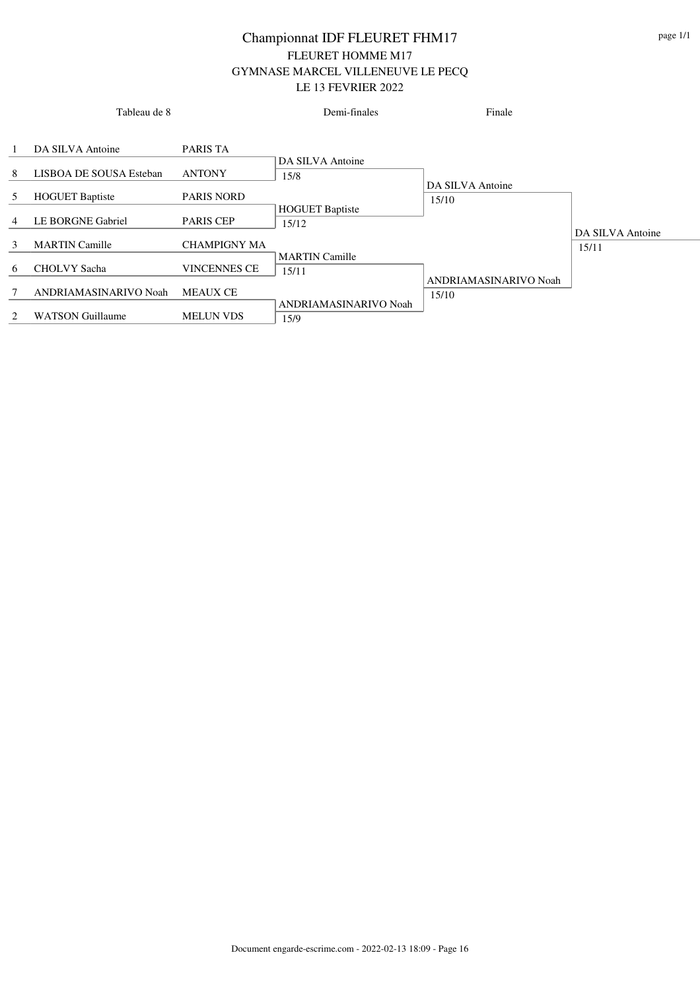|                | Tableau de 8            |                     | Demi-finales                    | Finale                         |                  |
|----------------|-------------------------|---------------------|---------------------------------|--------------------------------|------------------|
| $\mathbf{1}$   | DA SILVA Antoine        | PARIS TA            | DA SILVA Antoine                |                                |                  |
| 8              | LISBOA DE SOUSA Esteban | <b>ANTONY</b>       | 15/8                            |                                |                  |
| 5              | <b>HOGUET Baptiste</b>  | <b>PARIS NORD</b>   |                                 | DA SILVA Antoine<br>15/10      |                  |
| $\overline{4}$ | LE BORGNE Gabriel       | <b>PARIS CEP</b>    | <b>HOGUET Baptiste</b><br>15/12 |                                | DA SILVA Antoine |
| 3              | <b>MARTIN Camille</b>   | <b>CHAMPIGNY MA</b> |                                 |                                | 15/11            |
| 6              | <b>CHOLVY</b> Sacha     | <b>VINCENNES CE</b> | <b>MARTIN</b> Camille<br>15/11  |                                |                  |
| 7              | ANDRIAMASINARIVO Noah   | <b>MEAUX CE</b>     |                                 | ANDRIAMASINARIVO Noah<br>15/10 |                  |
| 2              | <b>WATSON Guillaume</b> | <b>MELUN VDS</b>    | ANDRIAMASINARIVO Noah<br>15/9   |                                |                  |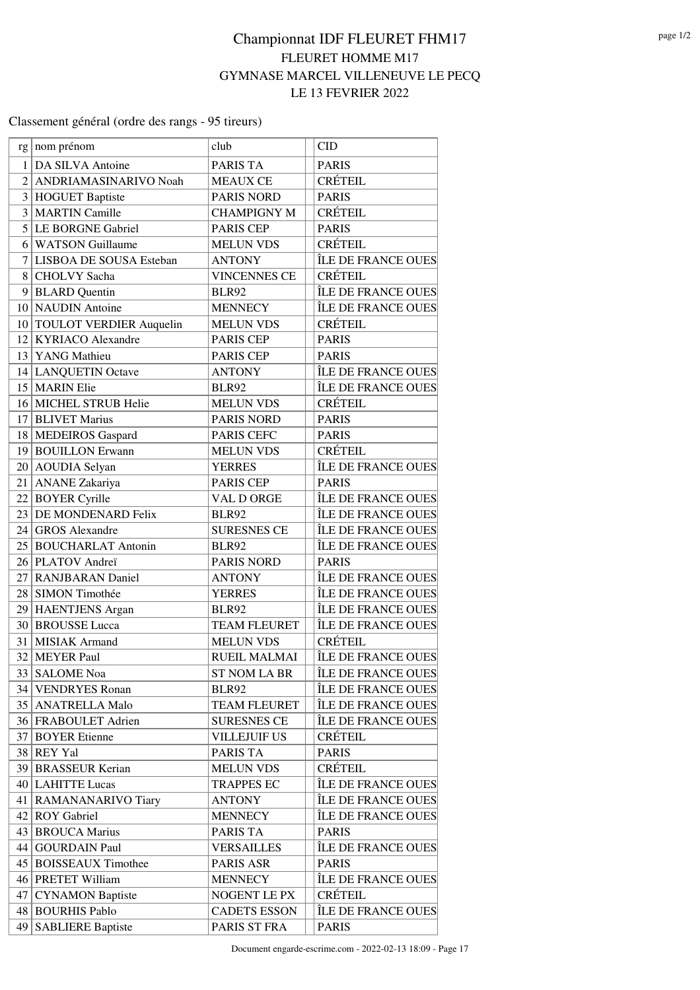### Classement général (ordre des rangs - 95 tireurs)

| rg              | nom prénom                 | club                | <b>CID</b>         |
|-----------------|----------------------------|---------------------|--------------------|
| 1 <sup>1</sup>  | DA SILVA Antoine           | PARIS TA            | <b>PARIS</b>       |
| $\overline{2}$  | ANDRIAMASINARIVO Noah      | <b>MEAUX CE</b>     | <b>CRÉTEIL</b>     |
|                 | 3 HOGUET Baptiste          | <b>PARIS NORD</b>   | <b>PARIS</b>       |
| 3 <sup>1</sup>  | <b>MARTIN Camille</b>      | <b>CHAMPIGNY M</b>  | <b>CRÉTEIL</b>     |
|                 | 5 LE BORGNE Gabriel        | <b>PARIS CEP</b>    | <b>PARIS</b>       |
| 61              | <b>WATSON Guillaume</b>    | <b>MELUN VDS</b>    | <b>CRÉTEIL</b>     |
| 7 <sup>1</sup>  | LISBOA DE SOUSA Esteban    | <b>ANTONY</b>       | ÎLE DE FRANCE OUES |
| 8               | <b>CHOLVY</b> Sacha        | <b>VINCENNES CE</b> | <b>CRÉTEIL</b>     |
|                 | 9 BLARD Quentin            | <b>BLR92</b>        | ÎLE DE FRANCE OUES |
| 10 <sup>1</sup> | <b>NAUDIN</b> Antoine      | <b>MENNECY</b>      | ÎLE DE FRANCE OUES |
|                 | 10 TOULOT VERDIER Auquelin | <b>MELUN VDS</b>    | <b>CRÉTEIL</b>     |
|                 | 12 KYRIACO Alexandre       | PARIS CEP           | <b>PARIS</b>       |
|                 | 13 YANG Mathieu            | <b>PARIS CEP</b>    | <b>PARIS</b>       |
|                 | 14 LANQUETIN Octave        | <b>ANTONY</b>       | ÎLE DE FRANCE OUES |
|                 | 15 MARIN Elie              | <b>BLR92</b>        | ÎLE DE FRANCE OUES |
|                 | 16 MICHEL STRUB Helie      | <b>MELUN VDS</b>    | <b>CRÉTEIL</b>     |
|                 | 17 BLIVET Marius           | <b>PARIS NORD</b>   | <b>PARIS</b>       |
|                 | 18 MEDEIROS Gaspard        | PARIS CEFC          | <b>PARIS</b>       |
|                 | 19 BOUILLON Erwann         | <b>MELUN VDS</b>    | <b>CRÉTEIL</b>     |
|                 | 20 AOUDIA Selyan           | <b>YERRES</b>       | ÎLE DE FRANCE OUES |
|                 | 21   ANANE Zakariya        | <b>PARIS CEP</b>    | <b>PARIS</b>       |
|                 | 22 BOYER Cyrille           | VAL D ORGE          | ÎLE DE FRANCE OUES |
|                 | 23 DE MONDENARD Felix      | <b>BLR92</b>        | ÎLE DE FRANCE OUES |
|                 | 24 GROS Alexandre          | <b>SURESNES CE</b>  | ÎLE DE FRANCE OUES |
|                 | 25 BOUCHARLAT Antonin      | <b>BLR92</b>        | ÎLE DE FRANCE OUES |
|                 | 26 PLATOV Andreï           | PARIS NORD          | <b>PARIS</b>       |
| 27              | <b>RANJBARAN Daniel</b>    | <b>ANTONY</b>       | ÎLE DE FRANCE OUES |
|                 | 28 SIMON Timothée          | <b>YERRES</b>       | ÎLE DE FRANCE OUES |
|                 | 29 HAENTJENS Argan         | <b>BLR92</b>        | ÎLE DE FRANCE OUES |
|                 | 30 BROUSSE Lucca           | <b>TEAM FLEURET</b> | ÎLE DE FRANCE OUES |
|                 | 31 MISIAK Armand           | <b>MELUN VDS</b>    | <b>CRÉTEIL</b>     |
| 32              | <b>MEYER Paul</b>          | <b>RUEIL MALMAI</b> | ÎLE DE FRANCE OUES |
| 33              | <b>SALOME</b> Noa          | <b>ST NOM LA BR</b> | ÎLE DE FRANCE OUES |
|                 | 34 VENDRYES Ronan          | <b>BLR92</b>        | ÎLE DE FRANCE OUES |
|                 | 35 ANATRELLA Malo          | <b>TEAM FLEURET</b> | ÎLE DE FRANCE OUES |
|                 | 36 FRABOULET Adrien        | <b>SURESNES CE</b>  | ÎLE DE FRANCE OUES |
|                 | 37 BOYER Etienne           | <b>VILLEJUIF US</b> | CRÉTEIL            |
|                 | 38 REY Yal                 | PARIS TA            | <b>PARIS</b>       |
|                 | 39 BRASSEUR Kerian         | <b>MELUN VDS</b>    | CRÉTEIL            |
|                 | 40 LAHITTE Lucas           | <b>TRAPPES EC</b>   | ÎLE DE FRANCE OUES |
|                 | 41   RAMANANARIVO Tiary    | <b>ANTONY</b>       | ÎLE DE FRANCE OUES |
|                 | 42 ROY Gabriel             | <b>MENNECY</b>      | ÎLE DE FRANCE OUES |
|                 | 43 BROUCA Marius           | PARIS TA            | <b>PARIS</b>       |
|                 | 44   GOURDAIN Paul         | <b>VERSAILLES</b>   | ÎLE DE FRANCE OUES |
|                 | 45 BOISSEAUX Timothee      | PARIS ASR           | <b>PARIS</b>       |
|                 | 46 PRETET William          | <b>MENNECY</b>      | ÎLE DE FRANCE OUES |
| 47              | <b>CYNAMON Baptiste</b>    | NOGENT LE PX        | CRÉTEIL            |
|                 | 48 BOURHIS Pablo           | <b>CADETS ESSON</b> | ÎLE DE FRANCE OUES |
| 49              | <b>SABLIERE Baptiste</b>   | PARIS ST FRA        | <b>PARIS</b>       |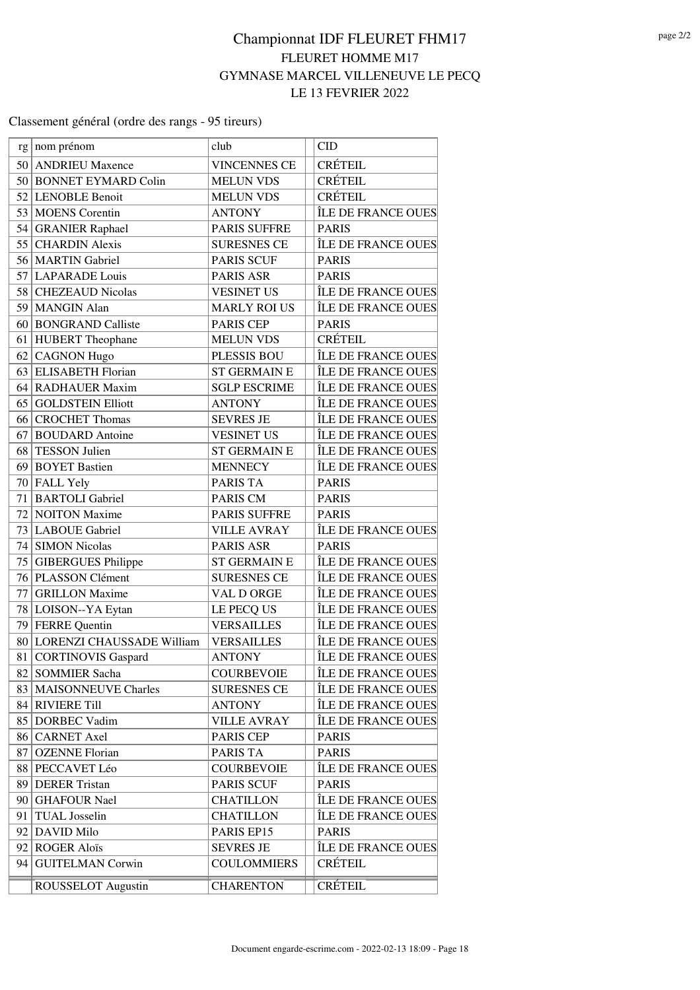### Classement général (ordre des rangs - 95 tireurs)

| rg              | nom prénom                   | club                | <b>CID</b>         |
|-----------------|------------------------------|---------------------|--------------------|
|                 | 50 ANDRIEU Maxence           | <b>VINCENNES CE</b> | <b>CRÉTEIL</b>     |
| 50              | <b>BONNET EYMARD Colin</b>   | <b>MELUN VDS</b>    | <b>CRÉTEIL</b>     |
| 52              | <b>LENOBLE Benoit</b>        | <b>MELUN VDS</b>    | <b>CRÉTEIL</b>     |
|                 | 53   MOENS Corentin          | <b>ANTONY</b>       | ÎLE DE FRANCE OUES |
|                 | 54 GRANIER Raphael           | <b>PARIS SUFFRE</b> | <b>PARIS</b>       |
| 55              | <b>CHARDIN Alexis</b>        | <b>SURESNES CE</b>  | ÎLE DE FRANCE OUES |
|                 | 56 MARTIN Gabriel            | <b>PARIS SCUF</b>   | <b>PARIS</b>       |
|                 | 57 LAPARADE Louis            | PARIS ASR           | <b>PARIS</b>       |
|                 | 58 CHEZEAUD Nicolas          | <b>VESINET US</b>   | ÎLE DE FRANCE OUES |
| 59              | <b>MANGIN</b> Alan           | <b>MARLY ROI US</b> | ÎLE DE FRANCE OUES |
|                 | 60 BONGRAND Calliste         | PARIS CEP           | <b>PARIS</b>       |
|                 | 61 HUBERT Theophane          | <b>MELUN VDS</b>    | <b>CRÉTEIL</b>     |
| 62              | <b>CAGNON Hugo</b>           | <b>PLESSIS BOU</b>  | ÎLE DE FRANCE OUES |
| 63              | <b>ELISABETH Florian</b>     | <b>ST GERMAIN E</b> | ÎLE DE FRANCE OUES |
| 64              | <b>RADHAUER Maxim</b>        | <b>SGLP ESCRIME</b> | ÎLE DE FRANCE OUES |
| 65              | <b>GOLDSTEIN Elliott</b>     | <b>ANTONY</b>       | ÎLE DE FRANCE OUES |
| 66              | <b>CROCHET Thomas</b>        | <b>SEVRES JE</b>    | ÎLE DE FRANCE OUES |
| 67              | <b>BOUDARD</b> Antoine       | <b>VESINET US</b>   | ÎLE DE FRANCE OUES |
| 68              | <b>TESSON Julien</b>         | <b>ST GERMAIN E</b> | ÎLE DE FRANCE OUES |
|                 | 69 BOYET Bastien             | <b>MENNECY</b>      | ÎLE DE FRANCE OUES |
|                 | 70 FALL Yely                 | PARIS TA            | <b>PARIS</b>       |
| 71              | <b>BARTOLI</b> Gabriel       | PARIS CM            | <b>PARIS</b>       |
| 72              | <b>NOITON</b> Maxime         | <b>PARIS SUFFRE</b> | <b>PARIS</b>       |
|                 | 73 LABOUE Gabriel            | <b>VILLE AVRAY</b>  | ÎLE DE FRANCE OUES |
| 74              | <b>SIMON Nicolas</b>         | PARIS ASR           | <b>PARIS</b>       |
| 75              | <b>GIBERGUES Philippe</b>    | <b>ST GERMAIN E</b> | ÎLE DE FRANCE OUES |
| 76              | PLASSON Clément              | <b>SURESNES CE</b>  | ÎLE DE FRANCE OUES |
| 77              | <b>GRILLON</b> Maxime        | VAL D ORGE          | ÎLE DE FRANCE OUES |
|                 | 78 LOISON--YA Eytan          | LE PECQ US          | ÎLE DE FRANCE OUES |
| 79              | <b>FERRE</b> Quentin         | <b>VERSAILLES</b>   | ÎLE DE FRANCE OUES |
|                 | 80 LORENZI CHAUSSADE William | <b>VERSAILLES</b>   | ÎLE DE FRANCE OUES |
| 81              | <b>CORTINOVIS Gaspard</b>    | <b>ANTONY</b>       | ÎLE DE FRANCE OUES |
|                 | 82 SOMMIER Sacha             | <b>COURBEVOIE</b>   | ÎLE DE FRANCE OUES |
|                 | 83   MAISONNEUVE Charles     | <b>SURESNES CE</b>  | ÎLE DE FRANCE OUES |
|                 | 84 RIVIERE Till              | <b>ANTONY</b>       | ÎLE DE FRANCE OUES |
|                 | 85 DORBEC Vadim              | <b>VILLE AVRAY</b>  | ÎLE DE FRANCE OUES |
|                 | 86 CARNET Axel               | <b>PARIS CEP</b>    | <b>PARIS</b>       |
| 87 <sup>2</sup> | <b>OZENNE Florian</b>        | PARIS TA            | <b>PARIS</b>       |
|                 | 88 PECCAVET Léo              | <b>COURBEVOIE</b>   | ÎLE DE FRANCE OUES |
|                 | 89 DERER Tristan             | <b>PARIS SCUF</b>   | <b>PARIS</b>       |
|                 | 90 GHAFOUR Nael              | <b>CHATILLON</b>    | ÎLE DE FRANCE OUES |
| 91              | <b>TUAL</b> Josselin         | <b>CHATILLON</b>    | ÎLE DE FRANCE OUES |
|                 | 92 DAVID Milo                | PARIS EP15          | <b>PARIS</b>       |
|                 | 92 ROGER Aloïs               | <b>SEVRES JE</b>    | ÎLE DE FRANCE OUES |
| 94              | <b>GUITELMAN Corwin</b>      | <b>COULOMMIERS</b>  | CRÉTEIL            |
|                 | ROUSSELOT Augustin           | <b>CHARENTON</b>    | CRÉTEIL            |